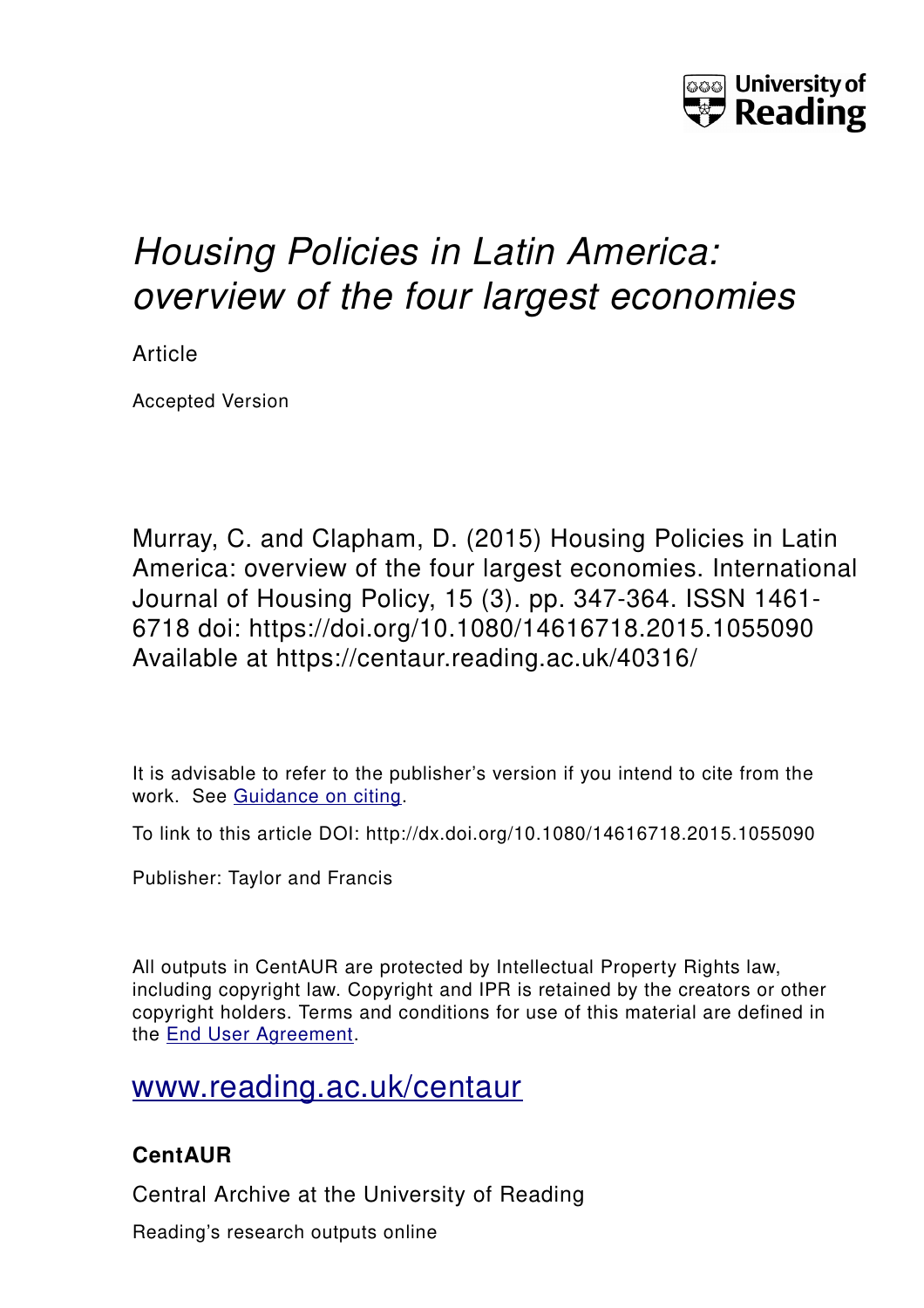

# *Housing Policies in Latin America: overview of the four largest economies*

Article

Accepted Version

Murray, C. and Clapham, D. (2015) Housing Policies in Latin America: overview of the four largest economies. International Journal of Housing Policy, 15 (3). pp. 347-364. ISSN 1461- 6718 doi: https://doi.org/10.1080/14616718.2015.1055090 Available at https://centaur.reading.ac.uk/40316/

It is advisable to refer to the publisher's version if you intend to cite from the work. See [Guidance on citing.](http://centaur.reading.ac.uk/71187/10/CentAUR%20citing%20guide.pdf)

To link to this article DOI: http://dx.doi.org/10.1080/14616718.2015.1055090

Publisher: Taylor and Francis

All outputs in CentAUR are protected by Intellectual Property Rights law, including copyright law. Copyright and IPR is retained by the creators or other copyright holders. Terms and conditions for use of this material are defined in the [End User Agreement.](http://centaur.reading.ac.uk/licence)

[www.reading.ac.uk/centaur](http://www.reading.ac.uk/centaur)

## **CentAUR**

Central Archive at the University of Reading

Reading's research outputs online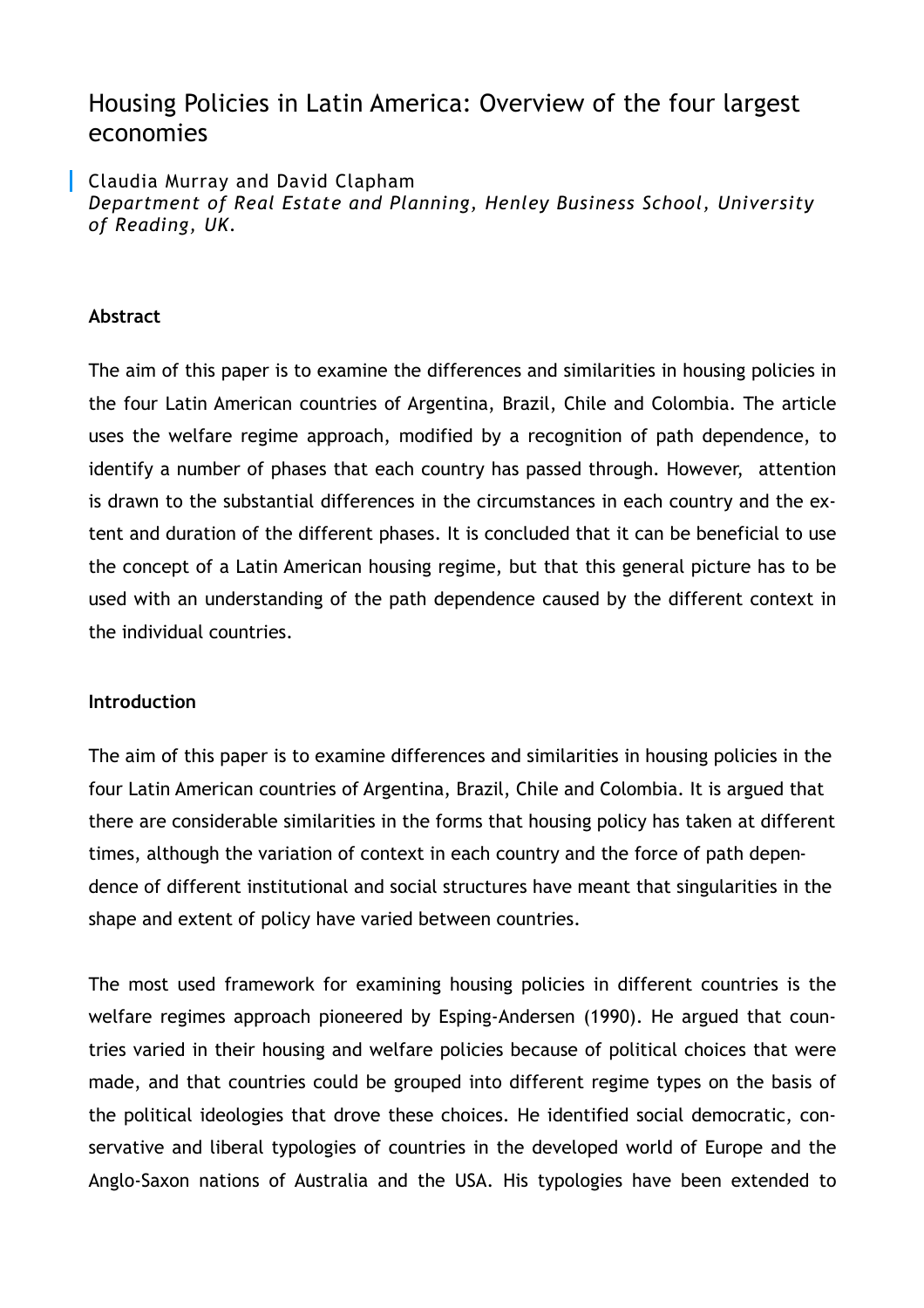## Housing Policies in Latin America: Overview of the four largest economies

Claudia Murray and David Clapham *Department of Real Estate and Planning, Henley Business School, University of Reading, UK.* 

#### **Abstract**

The aim of this paper is to examine the differences and similarities in housing policies in the four Latin American countries of Argentina, Brazil, Chile and Colombia. The article uses the welfare regime approach, modified by a recognition of path dependence, to identify a number of phases that each country has passed through. However, attention is drawn to the substantial differences in the circumstances in each country and the extent and duration of the different phases. It is concluded that it can be beneficial to use the concept of a Latin American housing regime, but that this general picture has to be used with an understanding of the path dependence caused by the different context in the individual countries.

#### **Introduction**

The aim of this paper is to examine differences and similarities in housing policies in the four Latin American countries of Argentina, Brazil, Chile and Colombia. It is argued that there are considerable similarities in the forms that housing policy has taken at different times, although the variation of context in each country and the force of path dependence of different institutional and social structures have meant that singularities in the shape and extent of policy have varied between countries.

The most used framework for examining housing policies in different countries is the welfare regimes approach pioneered by Esping-Andersen (1990). He argued that countries varied in their housing and welfare policies because of political choices that were made, and that countries could be grouped into different regime types on the basis of the political ideologies that drove these choices. He identified social democratic, conservative and liberal typologies of countries in the developed world of Europe and the Anglo-Saxon nations of Australia and the USA. His typologies have been extended to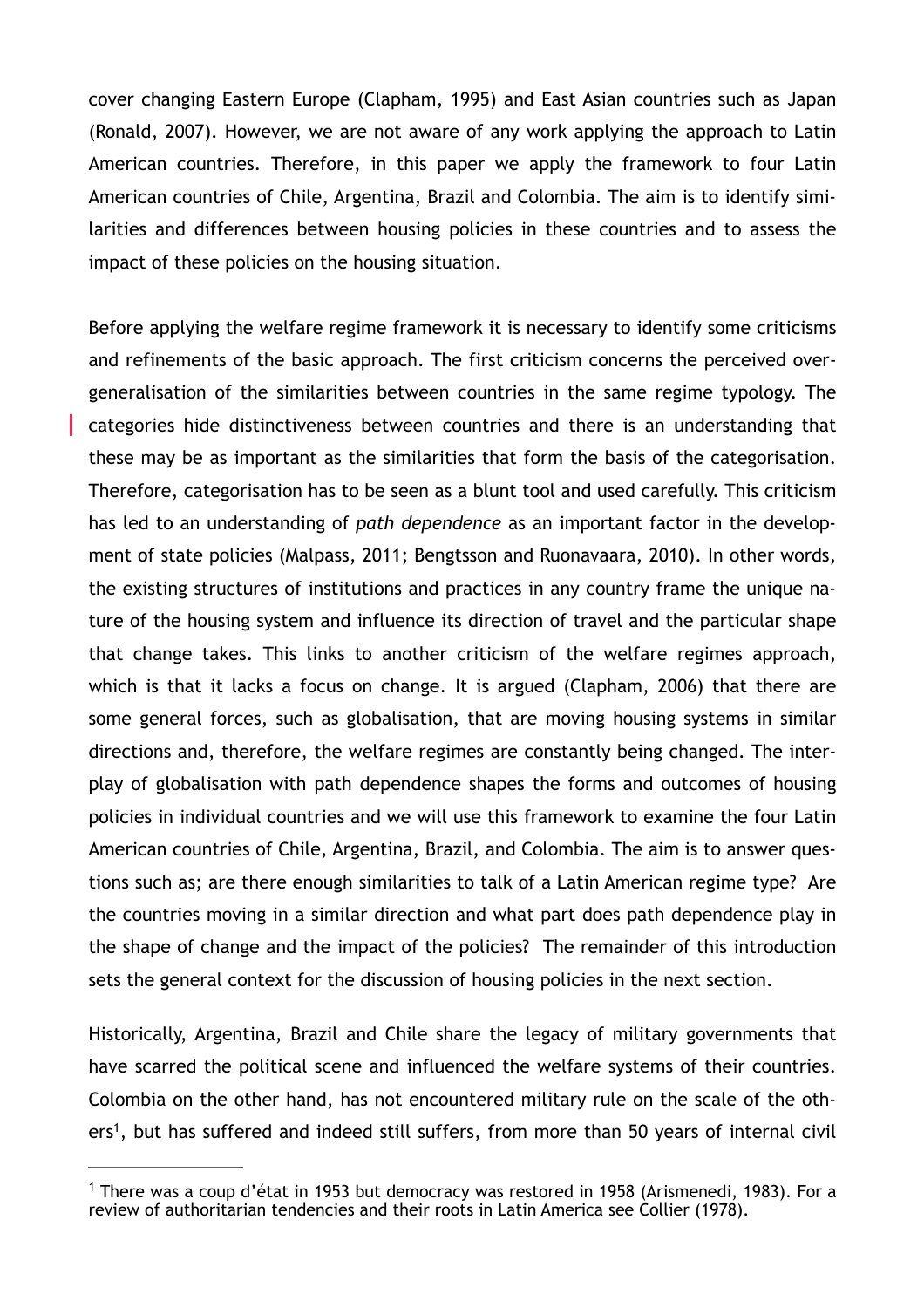cover changing Eastern Europe (Clapham, 1995) and East Asian countries such as Japan (Ronald, 2007). However, we are not aware of any work applying the approach to Latin American countries. Therefore, in this paper we apply the framework to four Latin American countries of Chile, Argentina, Brazil and Colombia. The aim is to identify similarities and differences between housing policies in these countries and to assess the impact of these policies on the housing situation.

Before applying the welfare regime framework it is necessary to identify some criticisms and refinements of the basic approach. The first criticism concerns the perceived overgeneralisation of the similarities between countries in the same regime typology. The categories hide distinctiveness between countries and there is an understanding that these may be as important as the similarities that form the basis of the categorisation. Therefore, categorisation has to be seen as a blunt tool and used carefully. This criticism has led to an understanding of *path dependence* as an important factor in the development of state policies (Malpass, 2011; Bengtsson and Ruonavaara, 2010). In other words, the existing structures of institutions and practices in any country frame the unique nature of the housing system and influence its direction of travel and the particular shape that change takes. This links to another criticism of the welfare regimes approach, which is that it lacks a focus on change. It is argued (Clapham, 2006) that there are some general forces, such as globalisation, that are moving housing systems in similar directions and, therefore, the welfare regimes are constantly being changed. The interplay of globalisation with path dependence shapes the forms and outcomes of housing policies in individual countries and we will use this framework to examine the four Latin American countries of Chile, Argentina, Brazil, and Colombia. The aim is to answer questions such as; are there enough similarities to talk of a Latin American regime type? Are the countries moving in a similar direction and what part does path dependence play in the shape of change and the impact of the policies? The remainder of this introduction sets the general context for the discussion of housing policies in the next section.

Historically, Argentina, Brazil and Chile share the legacy of military governments that have scarred the political scene and influenced the welfare systems of their countries. Colombia on the other hand, has not encountered military rule on the scale of the oth-ers<sup>[1](#page-2-0)</sup>, but has suffered and indeed still suffers, from more than 50 years of internal civil

<span id="page-2-1"></span><span id="page-2-0"></span><sup>&</sup>lt;sup>[1](#page-2-1)</sup> There was a coup d'état in 1953 but democracy was restored in 1958 (Arismenedi, 1983). For a review of authoritarian tendencies and their roots in Latin America see Collier (1978).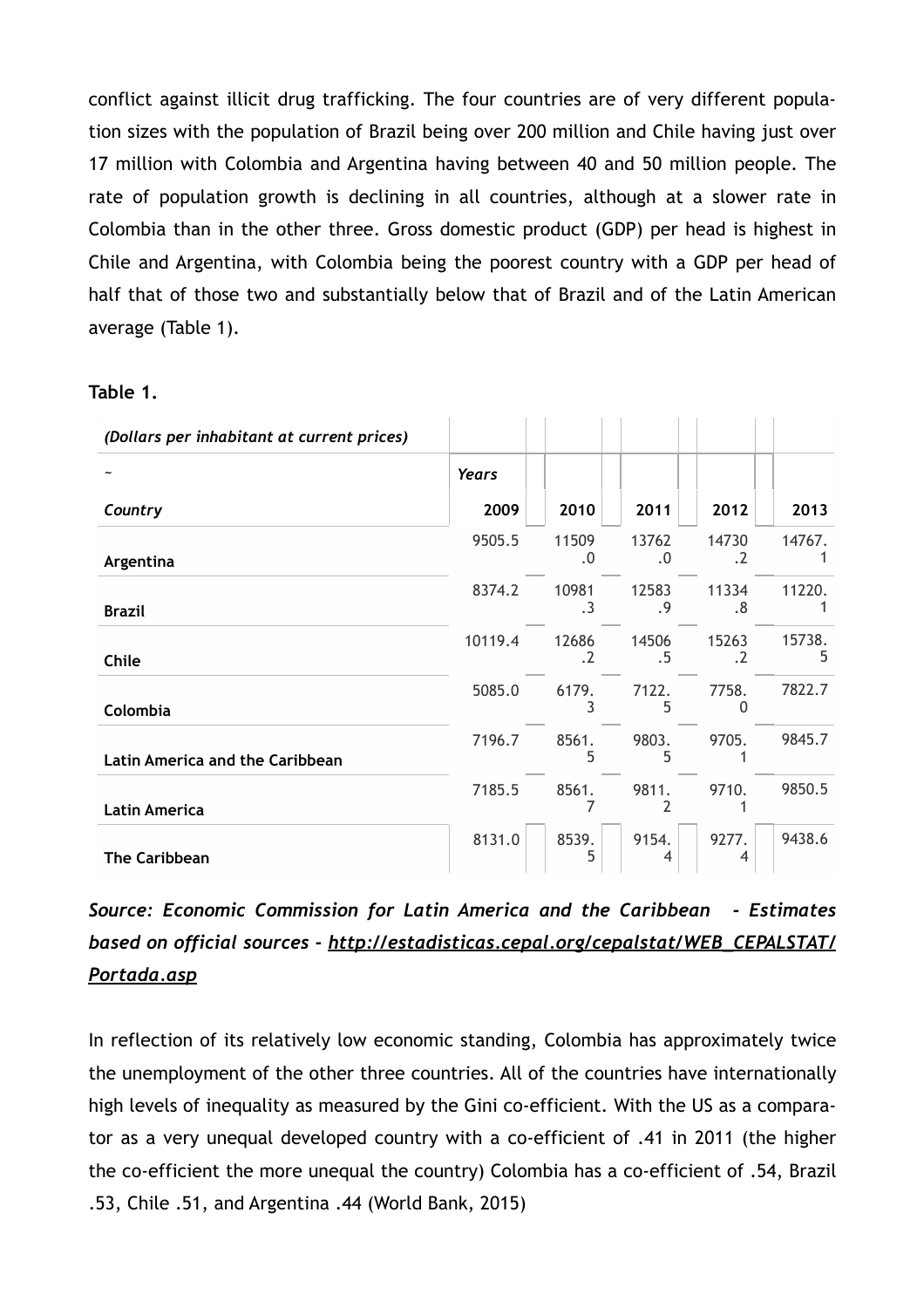conflict against illicit drug trafficking. The four countries are of very different population sizes with the population of Brazil being over 200 million and Chile having just over 17 million with Colombia and Argentina having between 40 and 50 million people. The rate of population growth is declining in all countries, although at a slower rate in Colombia than in the other three. Gross domestic product (GDP) per head is highest in Chile and Argentina, with Colombia being the poorest country with a GDP per head of half that of those two and substantially below that of Brazil and of the Latin American average (Table 1).

| Table |  |
|-------|--|
|-------|--|

| (Dollars per inhabitant at current prices) |              |                    |             |                    |             |
|--------------------------------------------|--------------|--------------------|-------------|--------------------|-------------|
|                                            | <b>Years</b> |                    |             |                    |             |
| Country                                    | 2009         | 2010               | 2011        | 2012               | 2013        |
| Argentina                                  | 9505.5       | 11509<br>.0        | 13762<br>.0 | 14730<br>$\cdot$ 2 | 14767.      |
| <b>Brazil</b>                              | 8374.2       | 10981<br>$\cdot$ 3 | 12583<br>.9 | 11334<br>.8        | 11220.      |
| Chile                                      | 10119.4      | 12686<br>$\cdot$   | 14506<br>.5 | 15263<br>$\cdot$   | 15738.<br>5 |
| Colombia                                   | 5085.0       | 6179.<br>3         | 7122.<br>5  | 7758.<br>0         | 7822.7      |
| <b>Latin America and the Caribbean</b>     | 7196.7       | 8561.<br>5         | 9803.<br>5  | 9705.              | 9845.7      |
| <b>Latin America</b>                       | 7185.5       | 8561.              | 9811.       | 9710.              | 9850.5      |
| The Caribbean                              | 8131.0       | 8539.<br>5         | 9154.<br>4  | 9277.<br>4         | 9438.6      |

*Source: Economic Commission for Latin America and the Caribbean - Estimates [based on official sources - http://estadisticas.cepal.org/cepalstat/WEB\\_CEPALSTAT/](http://estadisticas.cepal.org/cepalstat/WEB_CEPALSTAT/Portada.asp) Portada.asp*

In reflection of its relatively low economic standing, Colombia has approximately twice the unemployment of the other three countries. All of the countries have internationally high levels of inequality as measured by the Gini co-efficient. With the US as a comparator as a very unequal developed country with a co-efficient of .41 in 2011 (the higher the co-efficient the more unequal the country) Colombia has a co-efficient of .54, Brazil .53, Chile .51, and Argentina .44 (World Bank, 2015)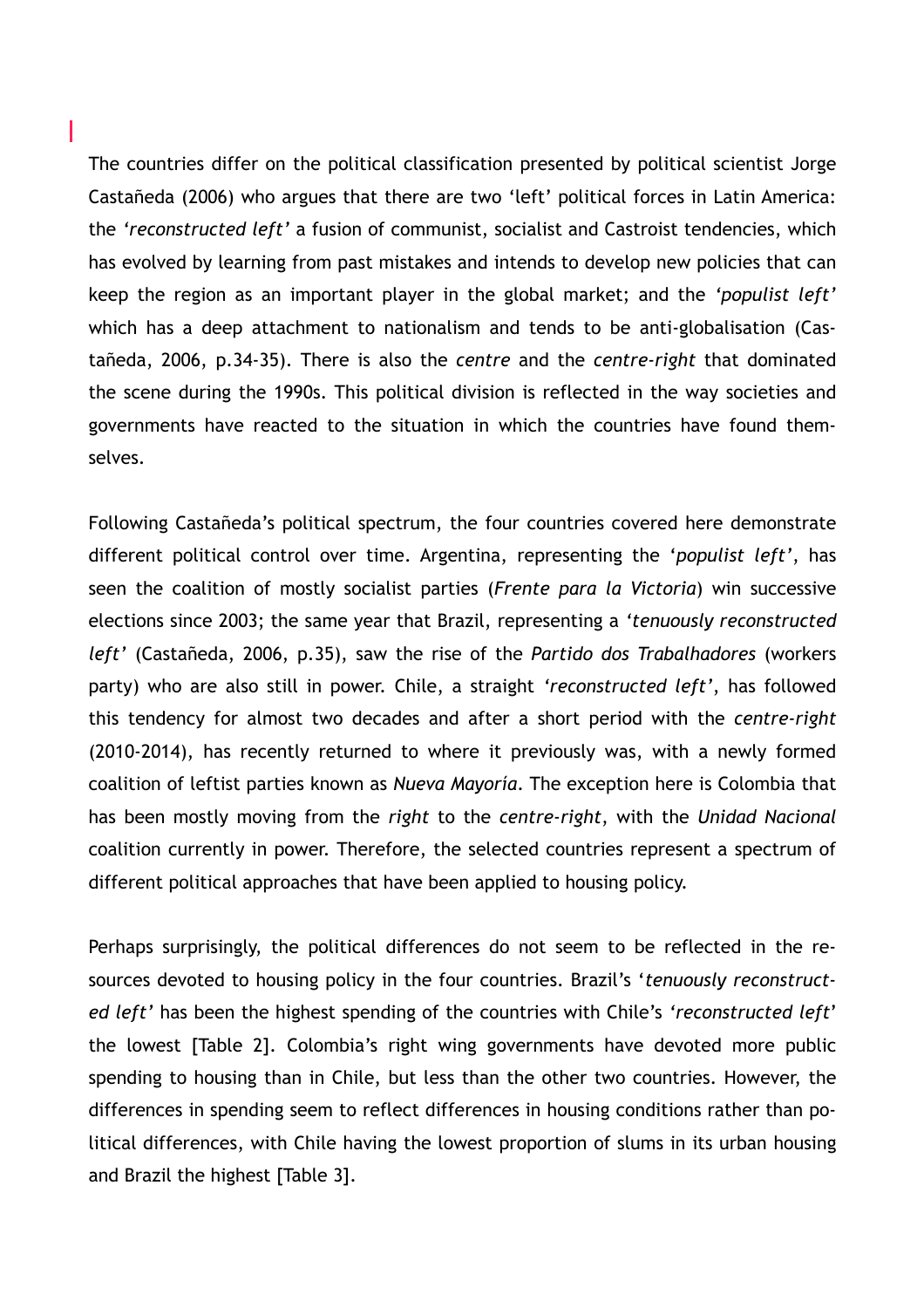The countries differ on the political classification presented by political scientist Jorge Castañeda (2006) who argues that there are two 'left' political forces in Latin America: the *'reconstructed left'* a fusion of communist, socialist and Castroist tendencies, which has evolved by learning from past mistakes and intends to develop new policies that can keep the region as an important player in the global market; and the *'populist left'* which has a deep attachment to nationalism and tends to be anti-globalisation (Castañeda, 2006, p.34-35). There is also the *centre* and the *centre-right* that dominated the scene during the 1990s. This political division is reflected in the way societies and governments have reacted to the situation in which the countries have found themselves.

I

Following Castañeda's political spectrum, the four countries covered here demonstrate different political control over time. Argentina, representing the '*populist left'*, has seen the coalition of mostly socialist parties (*Frente para la Victoria*) win successive elections since 2003; the same year that Brazil, representing a *'tenuously reconstructed left'* (Castañeda, 2006, p.35), saw the rise of the *Partido dos Trabalhadores* (workers party) who are also still in power. Chile, a straight *'reconstructed left'*, has followed this tendency for almost two decades and after a short period with the *centre-right* (2010-2014), has recently returned to where it previously was, with a newly formed coalition of leftist parties known as *Nueva Mayoría*. The exception here is Colombia that has been mostly moving from the *right* to the *centre-right*, with the *Unidad Nacional* coalition currently in power. Therefore, the selected countries represent a spectrum of different political approaches that have been applied to housing policy.

Perhaps surprisingly, the political differences do not seem to be reflected in the resources devoted to housing policy in the four countries. Brazil's '*tenuously reconstructed left'* has been the highest spending of the countries with Chile's *'reconstructed left*' the lowest [Table 2]. Colombia's right wing governments have devoted more public spending to housing than in Chile, but less than the other two countries. However, the differences in spending seem to reflect differences in housing conditions rather than political differences, with Chile having the lowest proportion of slums in its urban housing and Brazil the highest [Table 3].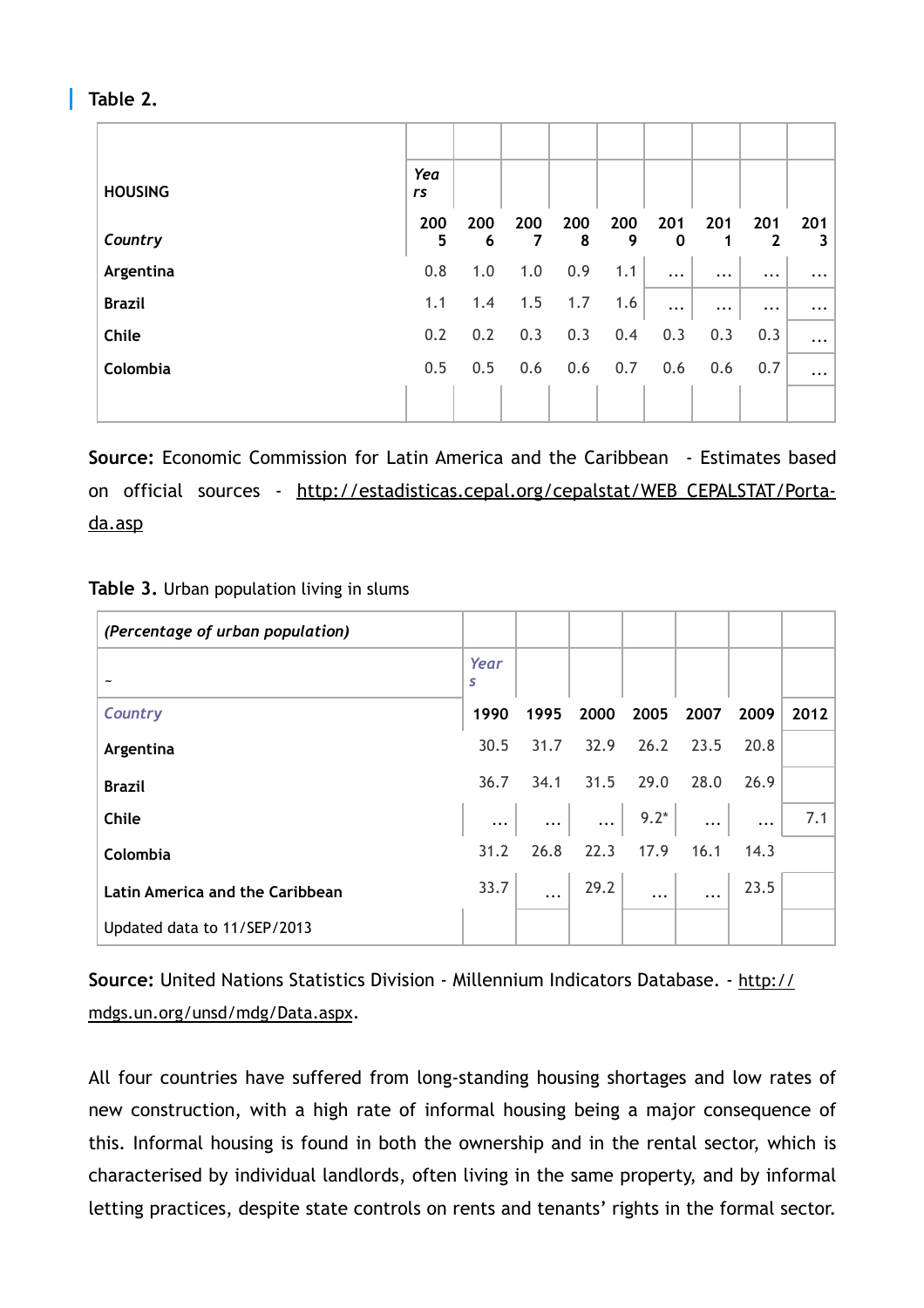#### **Table 2.**

| <b>HOUSING</b> | Yea<br>rs |          |          |          |          |                    |           |                     |          |
|----------------|-----------|----------|----------|----------|----------|--------------------|-----------|---------------------|----------|
| Country        | 200<br>5  | 200<br>6 | 200<br>7 | 200<br>8 | 200<br>9 | 201<br>$\mathbf 0$ | 201<br>1  | 201<br>$\mathbf{2}$ | 201<br>3 |
| Argentina      | 0.8       | 1.0      | 1.0      | 0.9      | 1.1      | $\cdots$           | $\ddotsc$ | $\cdots$            | $\cdots$ |
| <b>Brazil</b>  | 1.1       | 1.4      | 1.5      | 1.7      | 1.6      | $\cdots$           | $\cdots$  | $\cdots$            | $\cdots$ |
| Chile          | 0.2       | 0.2      | 0.3      | 0.3      | 0.4      | 0.3                | 0.3       | 0.3                 | $\cdots$ |
| Colombia       | 0.5       | 0.5      | 0.6      | 0.6      | 0.7      | 0.6                | 0.6       | 0.7                 | $\cdots$ |
|                |           |          |          |          |          |                    |           |                     |          |

**Source:** Economic Commission for Latin America and the Caribbean - Estimates based [on official sources - http://estadisticas.cepal.org/cepalstat/WEB\\_CEPALSTAT/Porta](http://estadisticas.cepal.org/cepalstat/WEB_CEPALSTAT/Portada.asp)da.asp

| Table 3. Urban population living in slums |  |
|-------------------------------------------|--|
|-------------------------------------------|--|

| (Percentage of urban population) |           |      |                                                                                                                           |      |      |            |      |
|----------------------------------|-----------|------|---------------------------------------------------------------------------------------------------------------------------|------|------|------------|------|
|                                  | Year<br>S |      |                                                                                                                           |      |      |            |      |
| Country                          | 1990      | 1995 | 2000                                                                                                                      | 2005 | 2007 | 2009       | 2012 |
| Argentina                        | 30.5      |      | 31.7 32.9                                                                                                                 | 26.2 | 23.5 | 20.8       |      |
| <b>Brazil</b>                    | 36.7      |      | 34.1 31.5 29.0                                                                                                            |      | 28.0 | 26.9       |      |
| Chile                            |           |      | $\begin{array}{ c c c c c } \hline \ \quad }} \dots & \quad \cdots & \quad \quad \cdots & \quad \quad \cdots \end{array}$ |      |      | $\dddotsc$ | 7.1  |
| Colombia                         | 31.2      | 26.8 | 22.3                                                                                                                      | 17.9 | 16.1 | 14.3       |      |
| Latin America and the Caribbean  | 33.7      |      | $\begin{array}{ c c c c c } \hline 29.2 & \dots & \end{array}$                                                            |      |      | 23.5       |      |
| Updated data to 11/SEP/2013      |           |      |                                                                                                                           |      |      |            |      |

**Source:** [United Nations Statistics Division - Millennium Indicators Database. - http://](http://mdgs.un.org/unsd/mdg/Data.aspx) mdgs.un.org/unsd/mdg/Data.aspx.

All four countries have suffered from long-standing housing shortages and low rates of new construction, with a high rate of informal housing being a major consequence of this. Informal housing is found in both the ownership and in the rental sector, which is characterised by individual landlords, often living in the same property, and by informal letting practices, despite state controls on rents and tenants' rights in the formal sector.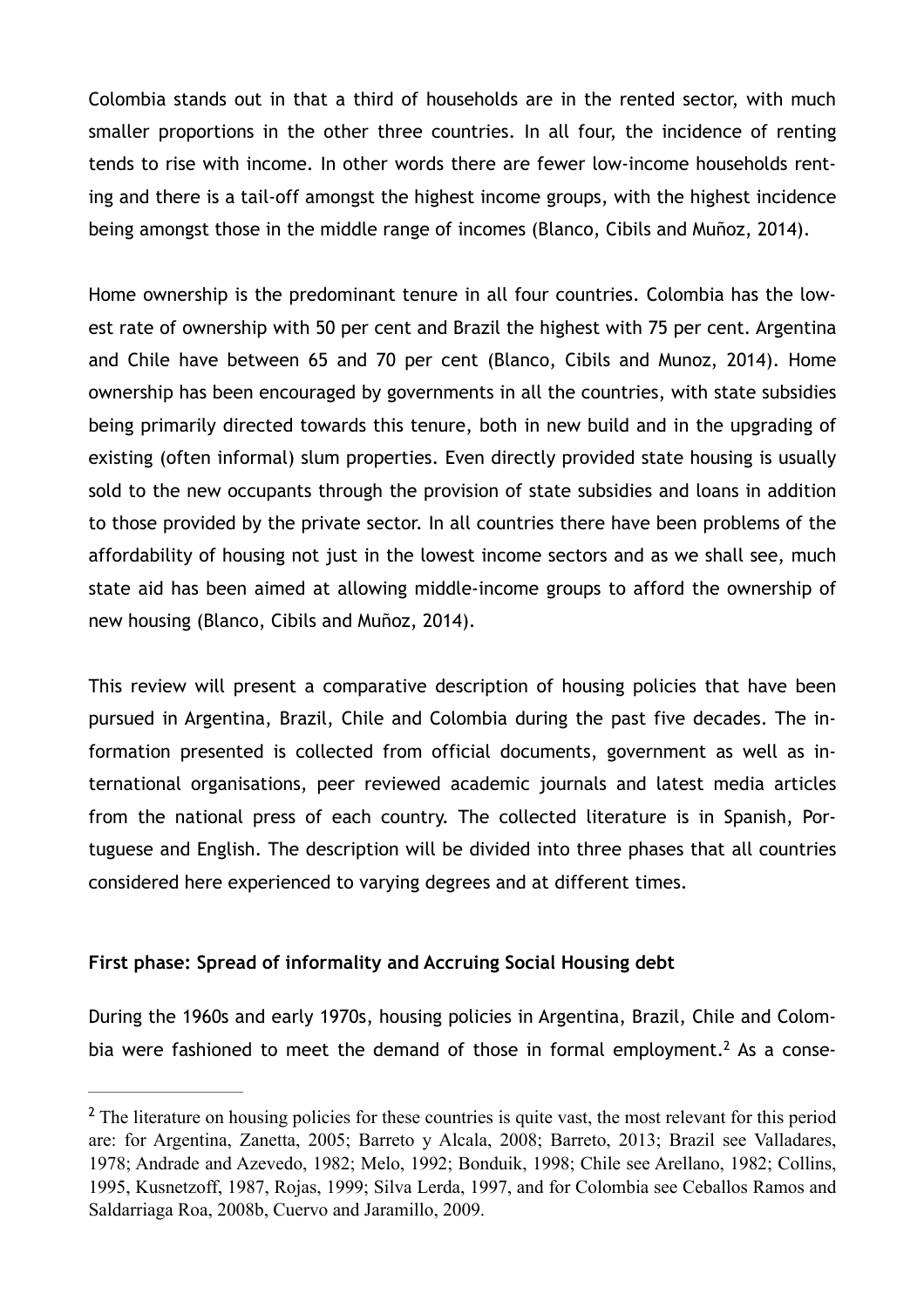Colombia stands out in that a third of households are in the rented sector, with much smaller proportions in the other three countries. In all four, the incidence of renting tends to rise with income. In other words there are fewer low-income households renting and there is a tail-off amongst the highest income groups, with the highest incidence being amongst those in the middle range of incomes (Blanco, Cibils and Muñoz, 2014).

Home ownership is the predominant tenure in all four countries. Colombia has the lowest rate of ownership with 50 per cent and Brazil the highest with 75 per cent. Argentina and Chile have between 65 and 70 per cent (Blanco, Cibils and Munoz, 2014). Home ownership has been encouraged by governments in all the countries, with state subsidies being primarily directed towards this tenure, both in new build and in the upgrading of existing (often informal) slum properties. Even directly provided state housing is usually sold to the new occupants through the provision of state subsidies and loans in addition to those provided by the private sector. In all countries there have been problems of the affordability of housing not just in the lowest income sectors and as we shall see, much state aid has been aimed at allowing middle-income groups to afford the ownership of new housing (Blanco, Cibils and Muñoz, 2014).

This review will present a comparative description of housing policies that have been pursued in Argentina, Brazil, Chile and Colombia during the past five decades. The information presented is collected from official documents, government as well as international organisations, peer reviewed academic journals and latest media articles from the national press of each country. The collected literature is in Spanish, Portuguese and English. The description will be divided into three phases that all countries considered here experienced to varying degrees and at different times.

#### **First phase: Spread of informality and Accruing Social Housing debt**

<span id="page-6-1"></span>During the 1960s and early 1970s, housing policies in Argentina, Brazil, Chile and Colom-bia were fashioned to meet the demand of those in formal employment[.](#page-6-0)<sup>2</sup> As a conse-

<span id="page-6-0"></span><sup>&</sup>lt;sup>[2](#page-6-1)</sup> The literature on housing policies for these countries is quite vast, the most relevant for this period are: for Argentina, Zanetta, 2005; Barreto y Alcala, 2008; Barreto, 2013; Brazil see Valladares, 1978; Andrade and Azevedo, 1982; Melo, 1992; Bonduik, 1998; Chile see Arellano, 1982; Collins, 1995, Kusnetzoff, 1987, Rojas, 1999; Silva Lerda, 1997, and for Colombia see Ceballos Ramos and Saldarriaga Roa, 2008b, Cuervo and Jaramillo, 2009.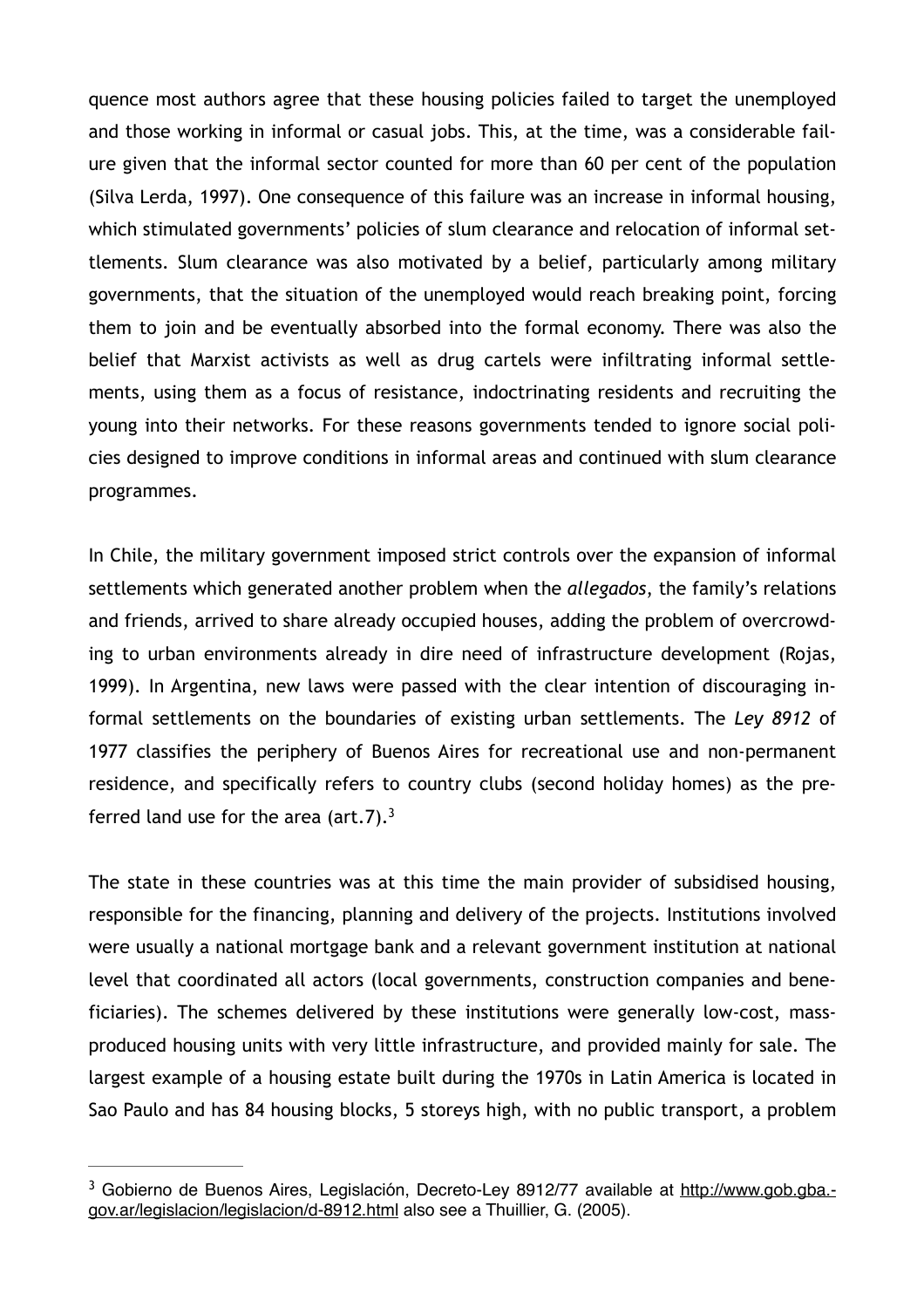quence most authors agree that these housing policies failed to target the unemployed and those working in informal or casual jobs. This, at the time, was a considerable failure given that the informal sector counted for more than 60 per cent of the population (Silva Lerda, 1997). One consequence of this failure was an increase in informal housing, which stimulated governments' policies of slum clearance and relocation of informal settlements. Slum clearance was also motivated by a belief, particularly among military governments, that the situation of the unemployed would reach breaking point, forcing them to join and be eventually absorbed into the formal economy. There was also the belief that Marxist activists as well as drug cartels were infiltrating informal settlements, using them as a focus of resistance, indoctrinating residents and recruiting the young into their networks. For these reasons governments tended to ignore social policies designed to improve conditions in informal areas and continued with slum clearance programmes.

In Chile, the military government imposed strict controls over the expansion of informal settlements which generated another problem when the *allegados*, the family's relations and friends, arrived to share already occupied houses, adding the problem of overcrowding to urban environments already in dire need of infrastructure development (Rojas, 1999). In Argentina, new laws were passed with the clear intention of discouraging informal settlements on the boundaries of existing urban settlements. The *Ley 8912* of 1977 classifies the periphery of Buenos Aires for recreational use and non-permanent residence, and specifically refers to country clubs (second holiday homes) as the preferred land use for the area (art.7). $3$ 

<span id="page-7-1"></span>The state in these countries was at this time the main provider of subsidised housing, responsible for the financing, planning and delivery of the projects. Institutions involved were usually a national mortgage bank and a relevant government institution at national level that coordinated all actors (local governments, construction companies and beneficiaries). The schemes delivered by these institutions were generally low-cost, massproduced housing units with very little infrastructure, and provided mainly for sale. The largest example of a housing estate built during the 1970s in Latin America is located in Sao Paulo and has 84 housing blocks, 5 storeys high, with no public transport, a problem

<span id="page-7-0"></span><sup>&</sup>lt;sup>3</sup> [Gobierno de Buenos Aires, Legislación, Decreto-Ley 8912/77 available at http://www.gob.gba.](http://www.gob.gba.gov.ar/legislacion/legislacion/d-8912.html)gov.ar/legislacion/legislacion/d-8912.html also see a Thuillier, G. (2005).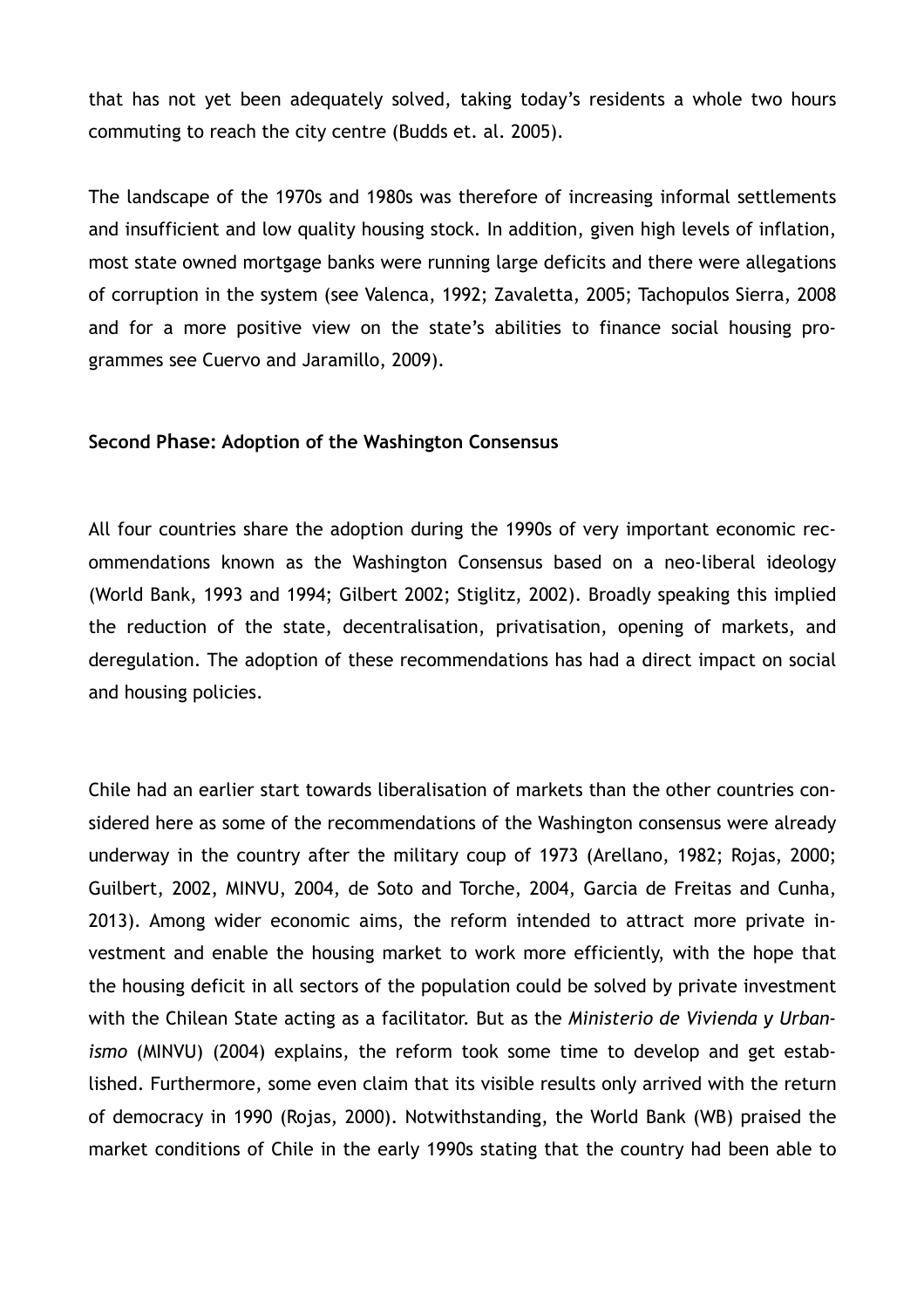that has not yet been adequately solved, taking today's residents a whole two hours commuting to reach the city centre (Budds et. al. 2005).

The landscape of the 1970s and 1980s was therefore of increasing informal settlements and insufficient and low quality housing stock. In addition, given high levels of inflation, most state owned mortgage banks were running large deficits and there were allegations of corruption in the system (see Valenca, 1992; Zavaletta, 2005; Tachopulos Sierra, 2008 and for a more positive view on the state's abilities to finance social housing programmes see Cuervo and Jaramillo, 2009).

#### **Second Phase: Adoption of the Washington Consensus**

All four countries share the adoption during the 1990s of very important economic recommendations known as the Washington Consensus based on a neo-liberal ideology (World Bank, 1993 and 1994; Gilbert 2002; Stiglitz, 2002). Broadly speaking this implied the reduction of the state, decentralisation, privatisation, opening of markets, and deregulation. The adoption of these recommendations has had a direct impact on social and housing policies.

Chile had an earlier start towards liberalisation of markets than the other countries considered here as some of the recommendations of the Washington consensus were already underway in the country after the military coup of 1973 (Arellano, 1982; Rojas, 2000; Guilbert, 2002, MINVU, 2004, de Soto and Torche, 2004, Garcia de Freitas and Cunha, 2013). Among wider economic aims, the reform intended to attract more private investment and enable the housing market to work more efficiently, with the hope that the housing deficit in all sectors of the population could be solved by private investment with the Chilean State acting as a facilitator. But as the *Ministerio de Vivienda y Urbanismo* (MINVU) (2004) explains, the reform took some time to develop and get established. Furthermore, some even claim that its visible results only arrived with the return of democracy in 1990 (Rojas, 2000). Notwithstanding, the World Bank (WB) praised the market conditions of Chile in the early 1990s stating that the country had been able to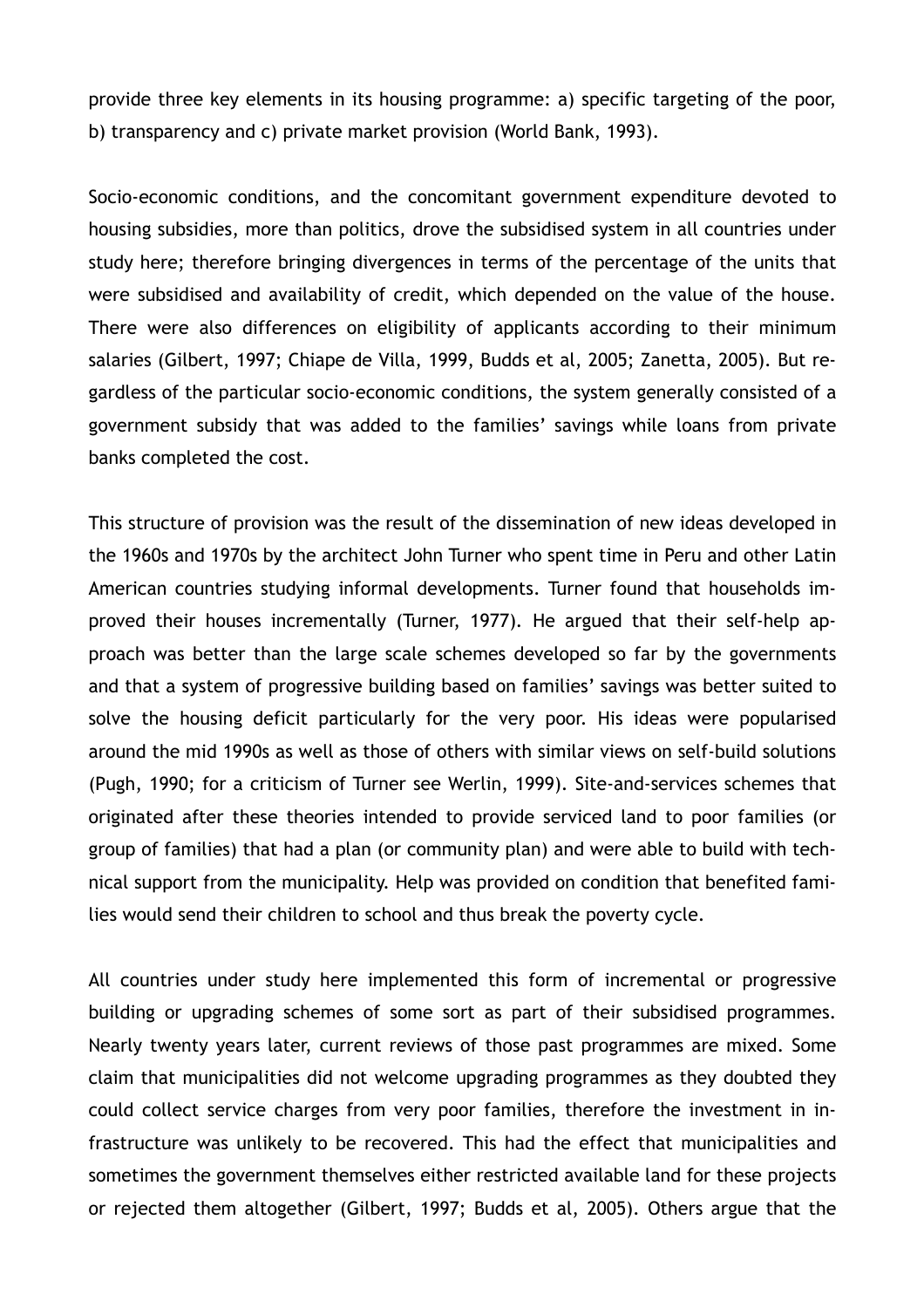provide three key elements in its housing programme: a) specific targeting of the poor, b) transparency and c) private market provision (World Bank, 1993).

Socio-economic conditions, and the concomitant government expenditure devoted to housing subsidies, more than politics, drove the subsidised system in all countries under study here; therefore bringing divergences in terms of the percentage of the units that were subsidised and availability of credit, which depended on the value of the house. There were also differences on eligibility of applicants according to their minimum salaries (Gilbert, 1997; Chiape de Villa, 1999, Budds et al, 2005; Zanetta, 2005). But regardless of the particular socio-economic conditions, the system generally consisted of a government subsidy that was added to the families' savings while loans from private banks completed the cost.

This structure of provision was the result of the dissemination of new ideas developed in the 1960s and 1970s by the architect John Turner who spent time in Peru and other Latin American countries studying informal developments. Turner found that households improved their houses incrementally (Turner, 1977)*.* He argued that their self-help approach was better than the large scale schemes developed so far by the governments and that a system of progressive building based on families' savings was better suited to solve the housing deficit particularly for the very poor. His ideas were popularised around the mid 1990s as well as those of others with similar views on self-build solutions (Pugh, 1990; for a criticism of Turner see Werlin, 1999). Site-and-services schemes that originated after these theories intended to provide serviced land to poor families (or group of families) that had a plan (or community plan) and were able to build with technical support from the municipality. Help was provided on condition that benefited families would send their children to school and thus break the poverty cycle.

All countries under study here implemented this form of incremental or progressive building or upgrading schemes of some sort as part of their subsidised programmes. Nearly twenty years later, current reviews of those past programmes are mixed. Some claim that municipalities did not welcome upgrading programmes as they doubted they could collect service charges from very poor families, therefore the investment in infrastructure was unlikely to be recovered. This had the effect that municipalities and sometimes the government themselves either restricted available land for these projects or rejected them altogether (Gilbert, 1997; Budds et al, 2005). Others argue that the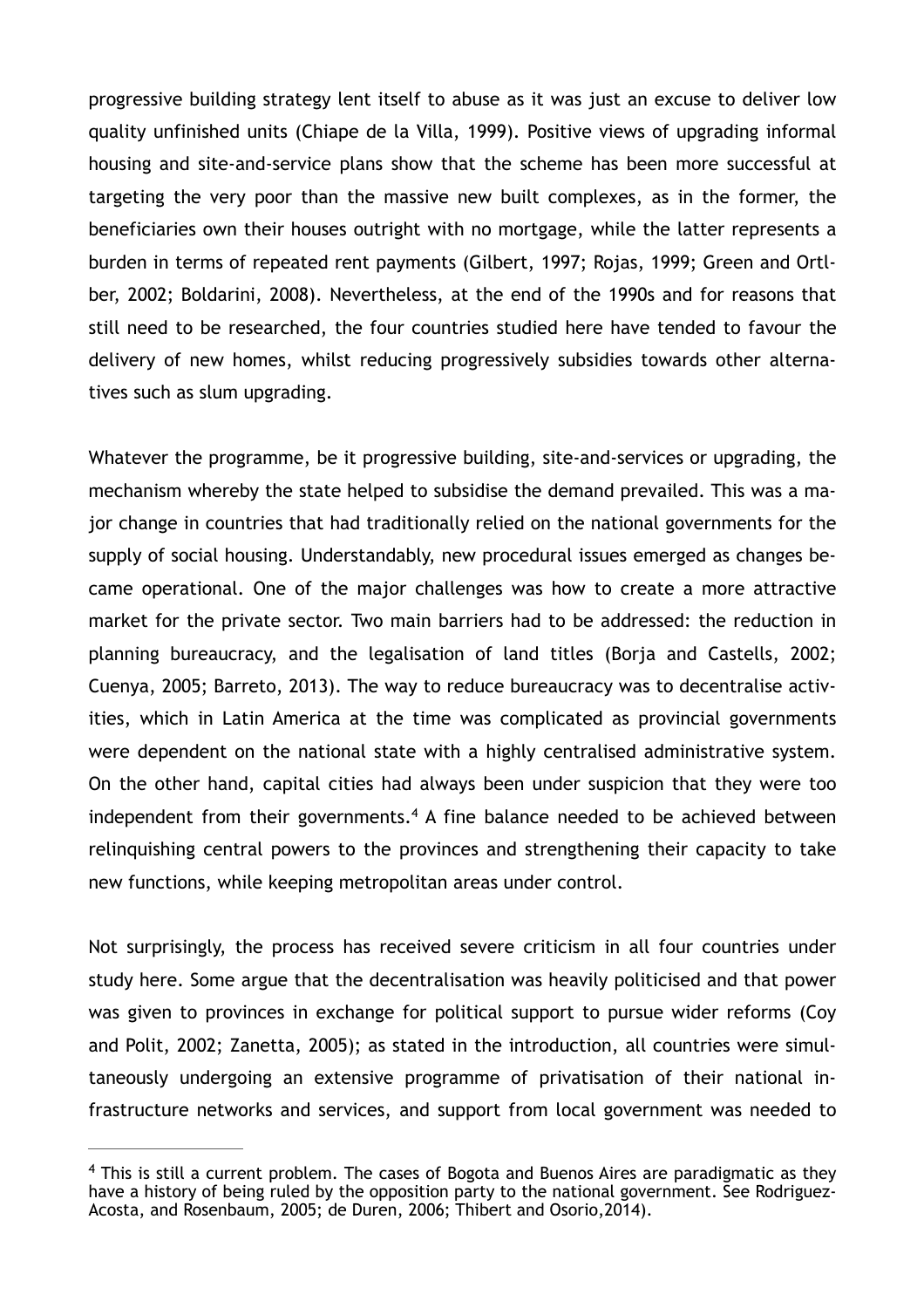progressive building strategy lent itself to abuse as it was just an excuse to deliver low quality unfinished units (Chiape de la Villa, 1999). Positive views of upgrading informal housing and site-and-service plans show that the scheme has been more successful at targeting the very poor than the massive new built complexes, as in the former, the beneficiaries own their houses outright with no mortgage, while the latter represents a burden in terms of repeated rent payments (Gilbert, 1997; Rojas, 1999; Green and Ortlber, 2002; Boldarini, 2008). Nevertheless, at the end of the 1990s and for reasons that still need to be researched, the four countries studied here have tended to favour the delivery of new homes, whilst reducing progressively subsidies towards other alternatives such as slum upgrading.

Whatever the programme, be it progressive building, site-and-services or upgrading, the mechanism whereby the state helped to subsidise the demand prevailed. This was a major change in countries that had traditionally relied on the national governments for the supply of social housing. Understandably, new procedural issues emerged as changes became operational. One of the major challenges was how to create a more attractive market for the private sector. Two main barriers had to be addressed: the reduction in planning bureaucracy, and the legalisation of land titles (Borja and Castells, 2002; Cuenya, 2005; Barreto, 2013). The way to reduce bureaucracy was to decentralise activities, which in Latin America at the time was complicated as provincial governments were dependent on the national state with a highly centralised administrative system. On the other hand, capital cities had always been under suspicion that they were too independent from their governments[.](#page-10-0)<sup>[4](#page-10-0)</sup> A fine balance needed to be achieved between relinquishing central powers to the provinces and strengthening their capacity to take new functions, while keeping metropolitan areas under control.

<span id="page-10-1"></span>Not surprisingly, the process has received severe criticism in all four countries under study here. Some argue that the decentralisation was heavily politicised and that power was given to provinces in exchange for political support to pursue wider reforms (Coy and Polit, 2002; Zanetta, 2005); as stated in the introduction, all countries were simultaneously undergoing an extensive programme of privatisation of their national infrastructure networks and services, and support from local government was needed to

<span id="page-10-0"></span> $4$  This is still a current problem. The cases of Bogota and Buenos Aires are paradigmatic as they have a history of being ruled by the opposition party to the national government. See Rodriguez-Acosta, and Rosenbaum, 2005; de Duren, 2006; Thibert and Osorio,2014).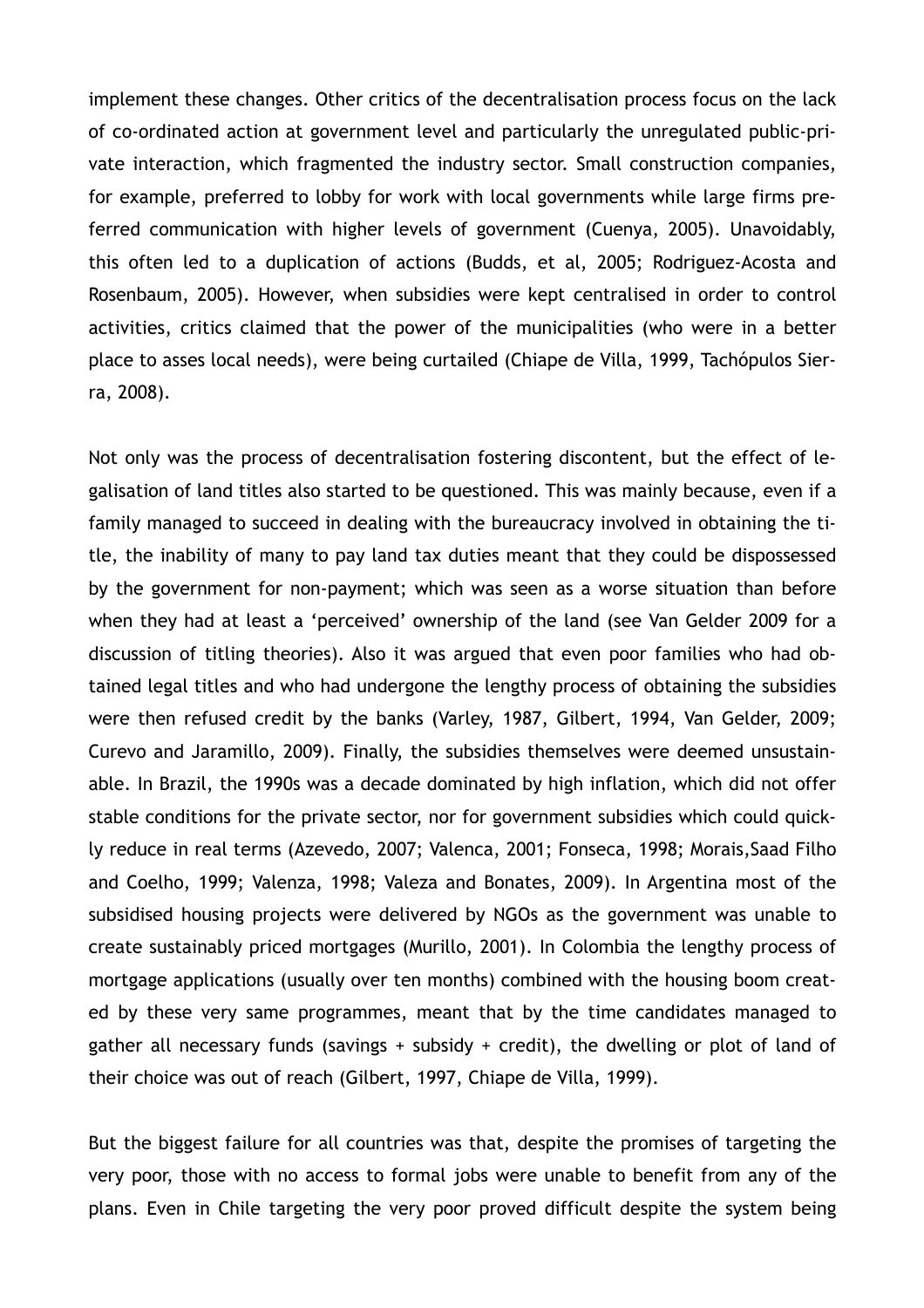implement these changes. Other critics of the decentralisation process focus on the lack of co-ordinated action at government level and particularly the unregulated public-private interaction, which fragmented the industry sector. Small construction companies, for example, preferred to lobby for work with local governments while large firms preferred communication with higher levels of government (Cuenya, 2005). Unavoidably, this often led to a duplication of actions (Budds, et al, 2005; Rodriguez-Acosta and Rosenbaum, 2005). However, when subsidies were kept centralised in order to control activities, critics claimed that the power of the municipalities (who were in a better place to asses local needs), were being curtailed (Chiape de Villa, 1999, Tachópulos Sierra, 2008).

Not only was the process of decentralisation fostering discontent, but the effect of legalisation of land titles also started to be questioned. This was mainly because, even if a family managed to succeed in dealing with the bureaucracy involved in obtaining the title, the inability of many to pay land tax duties meant that they could be dispossessed by the government for non-payment; which was seen as a worse situation than before when they had at least a 'perceived' ownership of the land (see Van Gelder 2009 for a discussion of titling theories). Also it was argued that even poor families who had obtained legal titles and who had undergone the lengthy process of obtaining the subsidies were then refused credit by the banks (Varley, 1987, Gilbert, 1994, Van Gelder, 2009; Curevo and Jaramillo, 2009). Finally, the subsidies themselves were deemed unsustainable. In Brazil, the 1990s was a decade dominated by high inflation, which did not offer stable conditions for the private sector, nor for government subsidies which could quickly reduce in real terms (Azevedo, 2007; Valenca, 2001; Fonseca, 1998; Morais,Saad Filho and Coelho, 1999; Valenza, 1998; Valeza and Bonates, 2009). In Argentina most of the subsidised housing projects were delivered by NGOs as the government was unable to create sustainably priced mortgages (Murillo, 2001). In Colombia the lengthy process of mortgage applications (usually over ten months) combined with the housing boom created by these very same programmes, meant that by the time candidates managed to gather all necessary funds (savings + subsidy + credit), the dwelling or plot of land of their choice was out of reach (Gilbert, 1997, Chiape de Villa, 1999).

But the biggest failure for all countries was that, despite the promises of targeting the very poor, those with no access to formal jobs were unable to benefit from any of the plans. Even in Chile targeting the very poor proved difficult despite the system being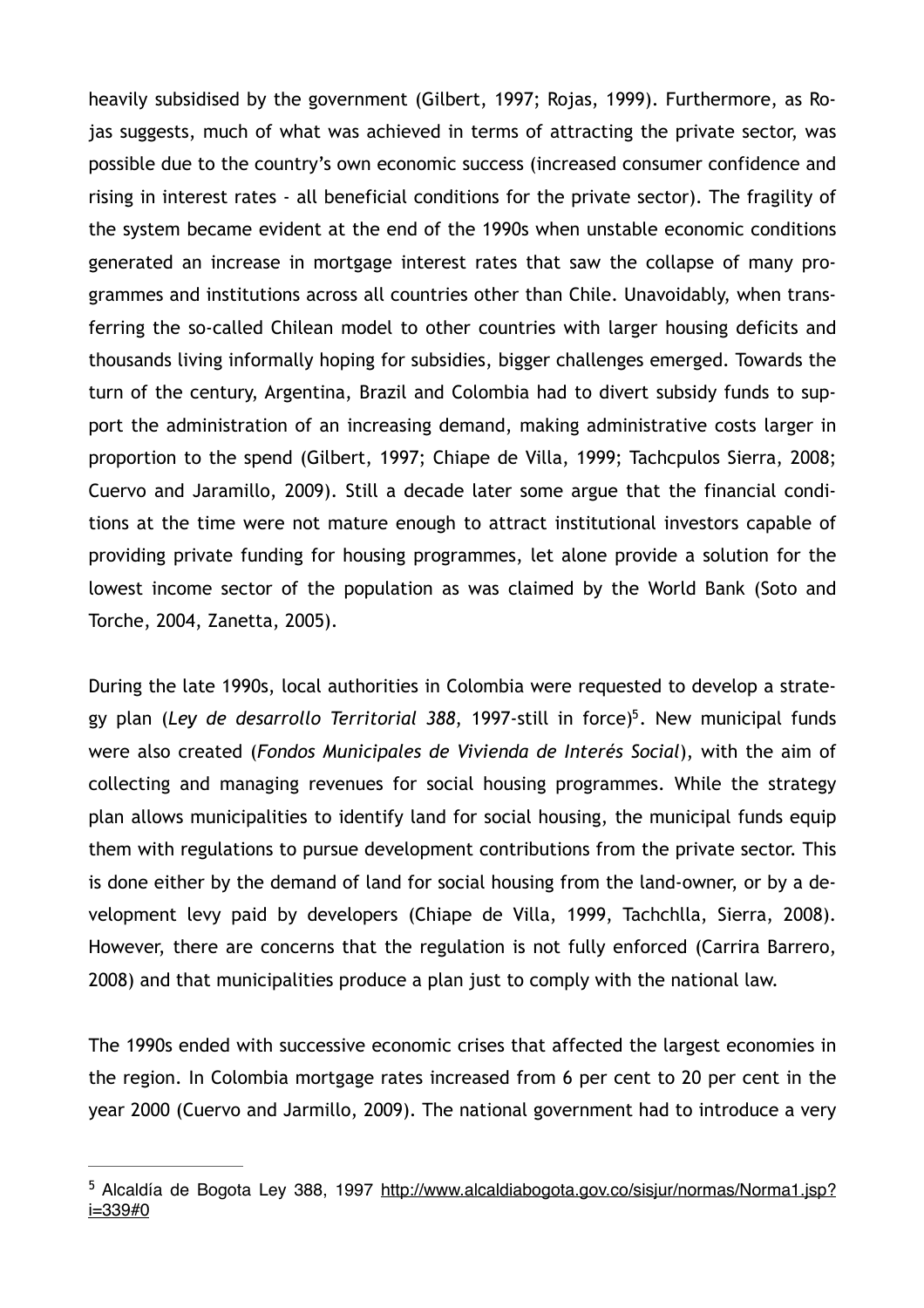heavily subsidised by the government (Gilbert, 1997; Rojas, 1999). Furthermore, as Rojas suggests, much of what was achieved in terms of attracting the private sector, was possible due to the country's own economic success (increased consumer confidence and rising in interest rates - all beneficial conditions for the private sector). The fragility of the system became evident at the end of the 1990s when unstable economic conditions generated an increase in mortgage interest rates that saw the collapse of many programmes and institutions across all countries other than Chile. Unavoidably, when transferring the so-called Chilean model to other countries with larger housing deficits and thousands living informally hoping for subsidies, bigger challenges emerged. Towards the turn of the century, Argentina, Brazil and Colombia had to divert subsidy funds to support the administration of an increasing demand, making administrative costs larger in proportion to the spend (Gilbert, 1997; Chiape de Villa, 1999; Tachcpulos Sierra, 2008; Cuervo and Jaramillo, 2009). Still a decade later some argue that the financial conditions at the time were not mature enough to attract institutional investors capable of providing private funding for housing programmes, let alone provide a solution for the lowest income sector of the population as was claimed by the World Bank (Soto and Torche, 2004, Zanetta, 2005).

<span id="page-12-1"></span>During the late 1990s, local authorities in Colombia were requested to develop a strate-gy plan (Ley de desarrollo Territorial 388, 1997-still in force)<sup>[5](#page-12-0)</sup>. New municipal funds were also created (*Fondos Municipales de Vivienda de Interés Social*), with the aim of collecting and managing revenues for social housing programmes. While the strategy plan allows municipalities to identify land for social housing, the municipal funds equip them with regulations to pursue development contributions from the private sector. This is done either by the demand of land for social housing from the land-owner, or by a development levy paid by developers (Chiape de Villa, 1999, Tachchlla, Sierra, 2008). However, there are concerns that the regulation is not fully enforced (Carrira Barrero, 2008) and that municipalities produce a plan just to comply with the national law.

The 1990s ended with successive economic crises that affected the largest economies in the region. In Colombia mortgage rates increased from 6 per cent to 20 per cent in the year 2000 (Cuervo and Jarmillo, 2009). The national government had to introduce a very

<span id="page-12-0"></span><sup>&</sup>lt;sup>5</sup> [Alcaldía de Bogota Ley 388, 1997 http://www.alcaldiabogota.gov.co/sisjur/normas/Norma1.jsp?](http://www.alcaldiabogota.gov.co/sisjur/normas/Norma1.jsp?i=339#0) i=339#0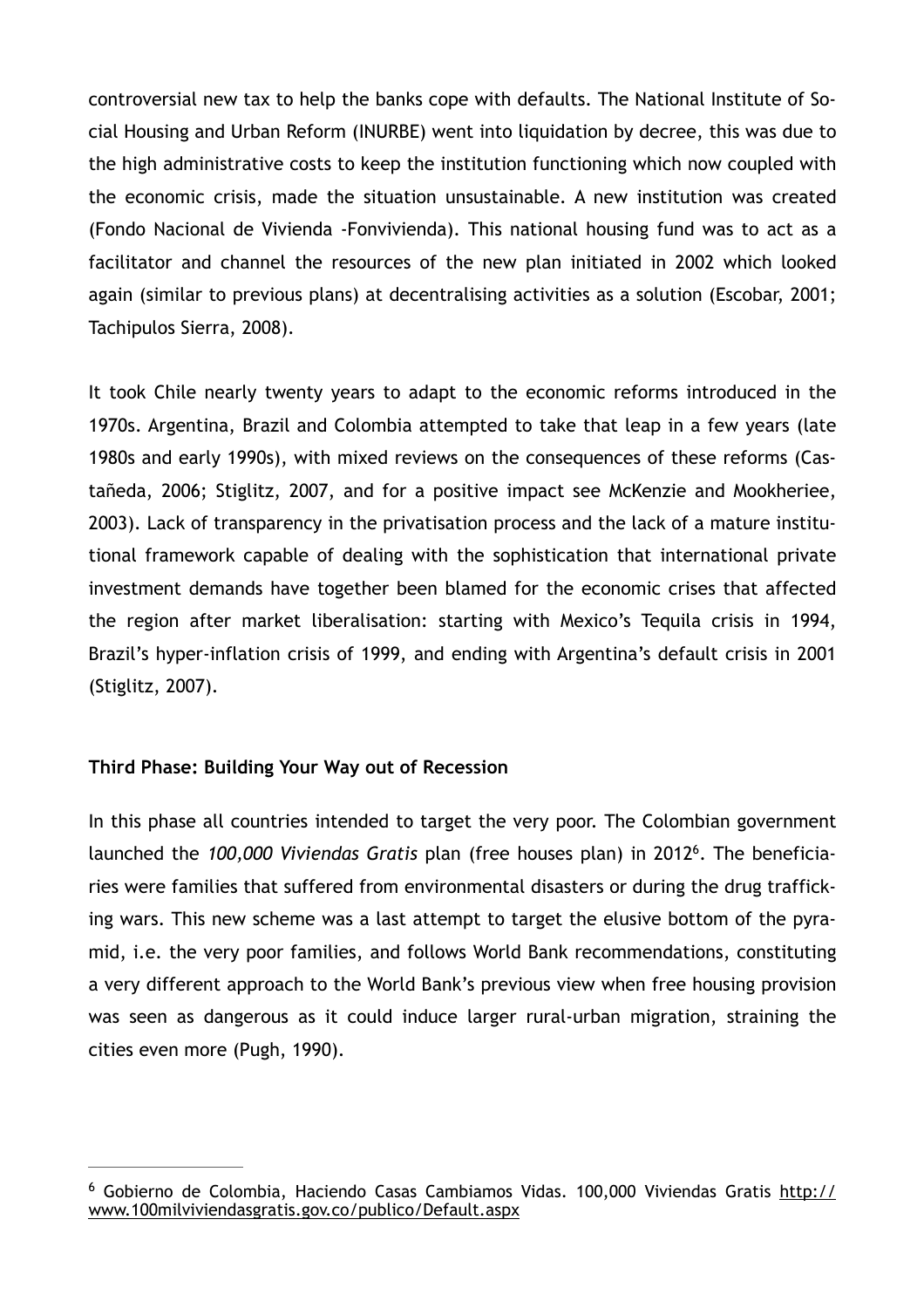controversial new tax to help the banks cope with defaults. The National Institute of Social Housing and Urban Reform (INURBE) went into liquidation by decree, this was due to the high administrative costs to keep the institution functioning which now coupled with the economic crisis, made the situation unsustainable. A new institution was created (Fondo Nacional de Vivienda -Fonvivienda). This national housing fund was to act as a facilitator and channel the resources of the new plan initiated in 2002 which looked again (similar to previous plans) at decentralising activities as a solution (Escobar, 2001; Tachipulos Sierra, 2008).

It took Chile nearly twenty years to adapt to the economic reforms introduced in the 1970s. Argentina, Brazil and Colombia attempted to take that leap in a few years (late 1980s and early 1990s), with mixed reviews on the consequences of these reforms (Castañeda, 2006; Stiglitz, 2007, and for a positive impact see McKenzie and Mookheriee, 2003). Lack of transparency in the privatisation process and the lack of a mature institutional framework capable of dealing with the sophistication that international private investment demands have together been blamed for the economic crises that affected the region after market liberalisation: starting with Mexico's Tequila crisis in 1994, Brazil's hyper-inflation crisis of 1999, and ending with Argentina's default crisis in 2001 (Stiglitz, 2007).

### **Third Phase: Building Your Way out of Recession**

<span id="page-13-1"></span>In this phase all countries intended to target the very poor. The Colombian government launched the 100,000 Viviendas Gratis plan (free houses plan) in 2012<sup>[6](#page-13-0)</sup>. The beneficiaries were families that suffered from environmental disasters or during the drug trafficking wars. This new scheme was a last attempt to target the elusive bottom of the pyramid, i.e. the very poor families, and follows World Bank recommendations, constituting a very different approach to the World Bank's previous view when free housing provision was seen as dangerous as it could induce larger rural-urban migration, straining the cities even more (Pugh, 1990).

<span id="page-13-0"></span> $6$  [Gobierno de Colombia, Haciendo Casas Cambiamos Vidas. 100,000 Viviendas Gratis http://](http://www.100milviviendasgratis.gov.co/publico/Default.aspx) www.100milviviendasgratis.gov.co/publico/Default.aspx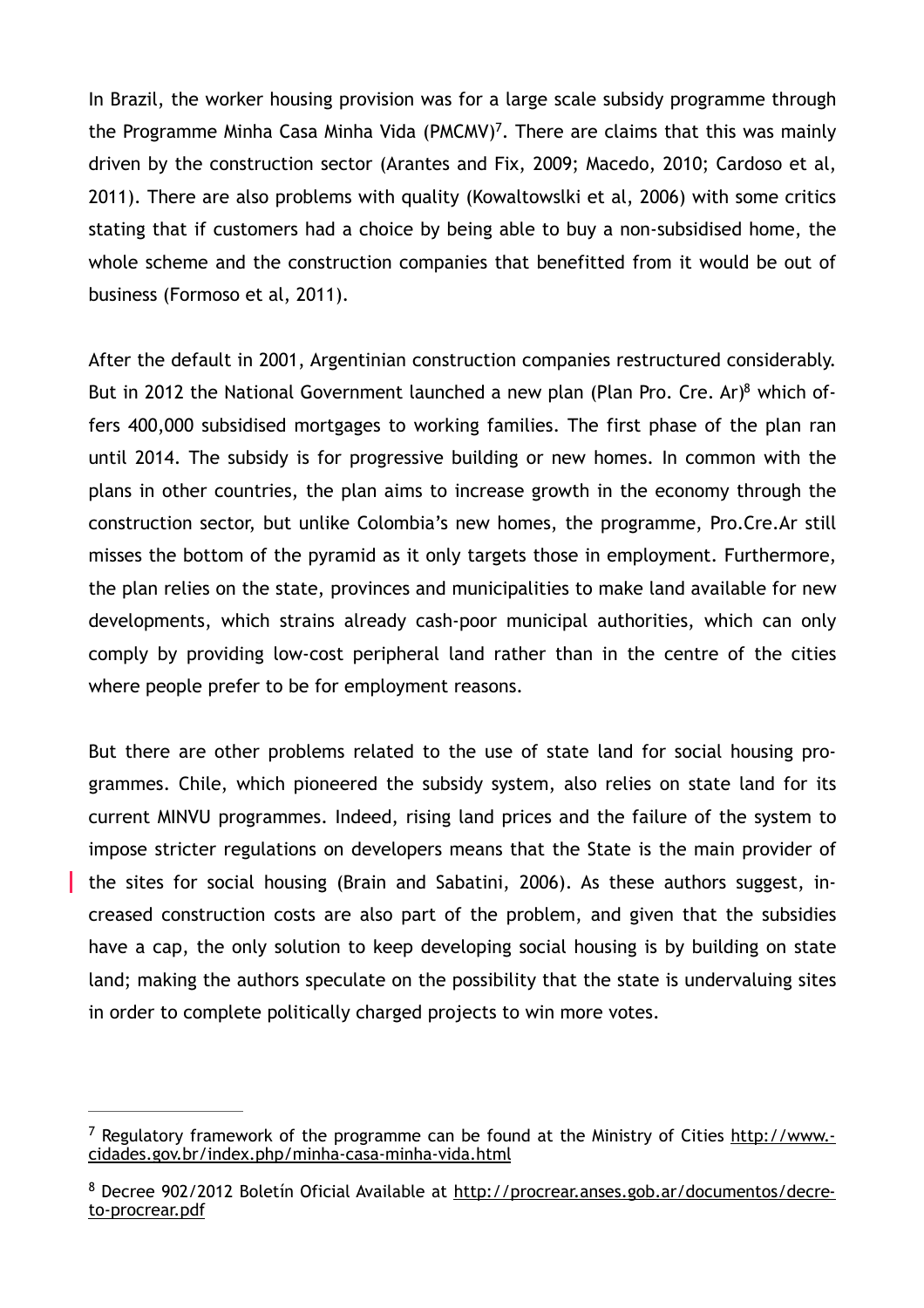<span id="page-14-2"></span>In Brazil, the worker housing provision was for a large scale subsidy programme through the Programme Minha Casa Minha Vida (PMCMV)<sup>[7](#page-14-0)</sup>. There are claims that this was mainly driven by the construction sector (Arantes and Fix, 2009; Macedo, 2010; Cardoso et al, 2011). There are also problems with quality (Kowaltowslki et al, 2006) with some critics stating that if customers had a choice by being able to buy a non-subsidised home, the whole scheme and the construction companies that benefitted from it would be out of business (Formoso et al, 2011).

<span id="page-14-3"></span>After the default in 2001, Argentinian construction companies restructured considerably. But in 2012 the National Government launched a new plan (Plan Pro. Cre. Ar[\)](#page-14-1)<sup>8</sup> which offers 400,000 subsidised mortgages to working families. The first phase of the plan ran until 2014. The subsidy is for progressive building or new homes. In common with the plans in other countries, the plan aims to increase growth in the economy through the construction sector, but unlike Colombia's new homes, the programme, Pro.Cre.Ar still misses the bottom of the pyramid as it only targets those in employment. Furthermore, the plan relies on the state, provinces and municipalities to make land available for new developments, which strains already cash-poor municipal authorities, which can only comply by providing low-cost peripheral land rather than in the centre of the cities where people prefer to be for employment reasons.

But there are other problems related to the use of state land for social housing programmes. Chile, which pioneered the subsidy system, also relies on state land for its current MINVU programmes. Indeed, rising land prices and the failure of the system to impose stricter regulations on developers means that the State is the main provider of the sites for social housing (Brain and Sabatini, 2006). As these authors suggest, increased construction costs are also part of the problem, and given that the subsidies have a cap, the only solution to keep developing social housing is by building on state land; making the authors speculate on the possibility that the state is undervaluing sites in order to complete politically charged projects to win more votes.

<span id="page-14-0"></span><sup>&</sup>lt;sup>7</sup> [Regulatory framework of the programme can be found at the Ministry of Cities http://www.](http://www.cidades.gov.br/index.php/minha-casa-minha-vida.html)cidades.gov.br/index.php/minha-casa-minha-vida.html

<span id="page-14-1"></span><sup>&</sup>lt;sup>8</sup> [Decree 902/2012 Boletín Oficial Available at http://procrear.anses.gob.ar/documentos/decre](http://procrear.anses.gob.ar/documentos/decreto-procrear.pdf)to-procrear.pdf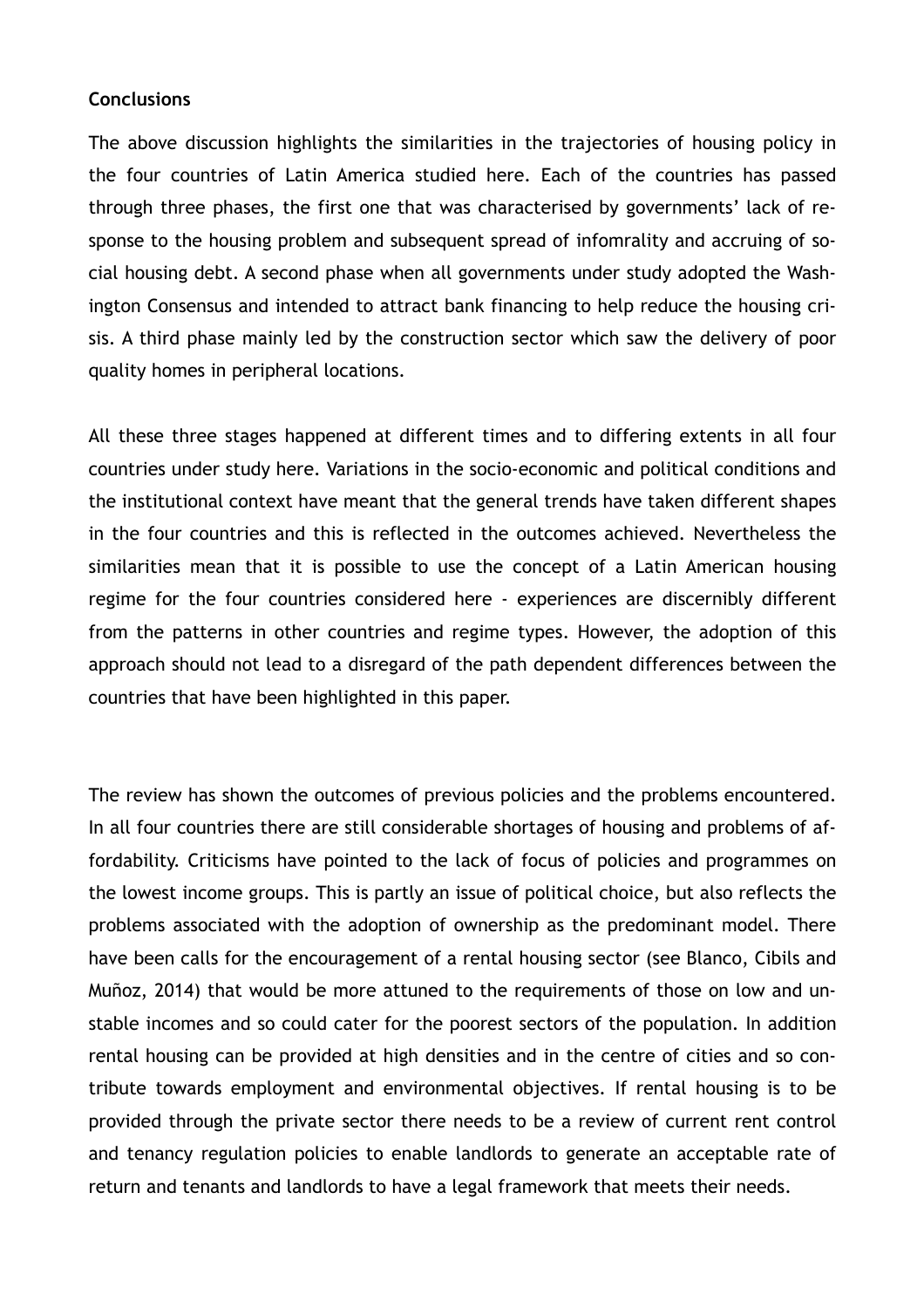#### **Conclusions**

The above discussion highlights the similarities in the trajectories of housing policy in the four countries of Latin America studied here. Each of the countries has passed through three phases, the first one that was characterised by governments' lack of response to the housing problem and subsequent spread of infomrality and accruing of social housing debt. A second phase when all governments under study adopted the Washington Consensus and intended to attract bank financing to help reduce the housing crisis. A third phase mainly led by the construction sector which saw the delivery of poor quality homes in peripheral locations.

All these three stages happened at different times and to differing extents in all four countries under study here. Variations in the socio-economic and political conditions and the institutional context have meant that the general trends have taken different shapes in the four countries and this is reflected in the outcomes achieved. Nevertheless the similarities mean that it is possible to use the concept of a Latin American housing regime for the four countries considered here - experiences are discernibly different from the patterns in other countries and regime types. However, the adoption of this approach should not lead to a disregard of the path dependent differences between the countries that have been highlighted in this paper.

The review has shown the outcomes of previous policies and the problems encountered. In all four countries there are still considerable shortages of housing and problems of affordability. Criticisms have pointed to the lack of focus of policies and programmes on the lowest income groups. This is partly an issue of political choice, but also reflects the problems associated with the adoption of ownership as the predominant model. There have been calls for the encouragement of a rental housing sector (see Blanco, Cibils and Muñoz, 2014) that would be more attuned to the requirements of those on low and unstable incomes and so could cater for the poorest sectors of the population. In addition rental housing can be provided at high densities and in the centre of cities and so contribute towards employment and environmental objectives. If rental housing is to be provided through the private sector there needs to be a review of current rent control and tenancy regulation policies to enable landlords to generate an acceptable rate of return and tenants and landlords to have a legal framework that meets their needs.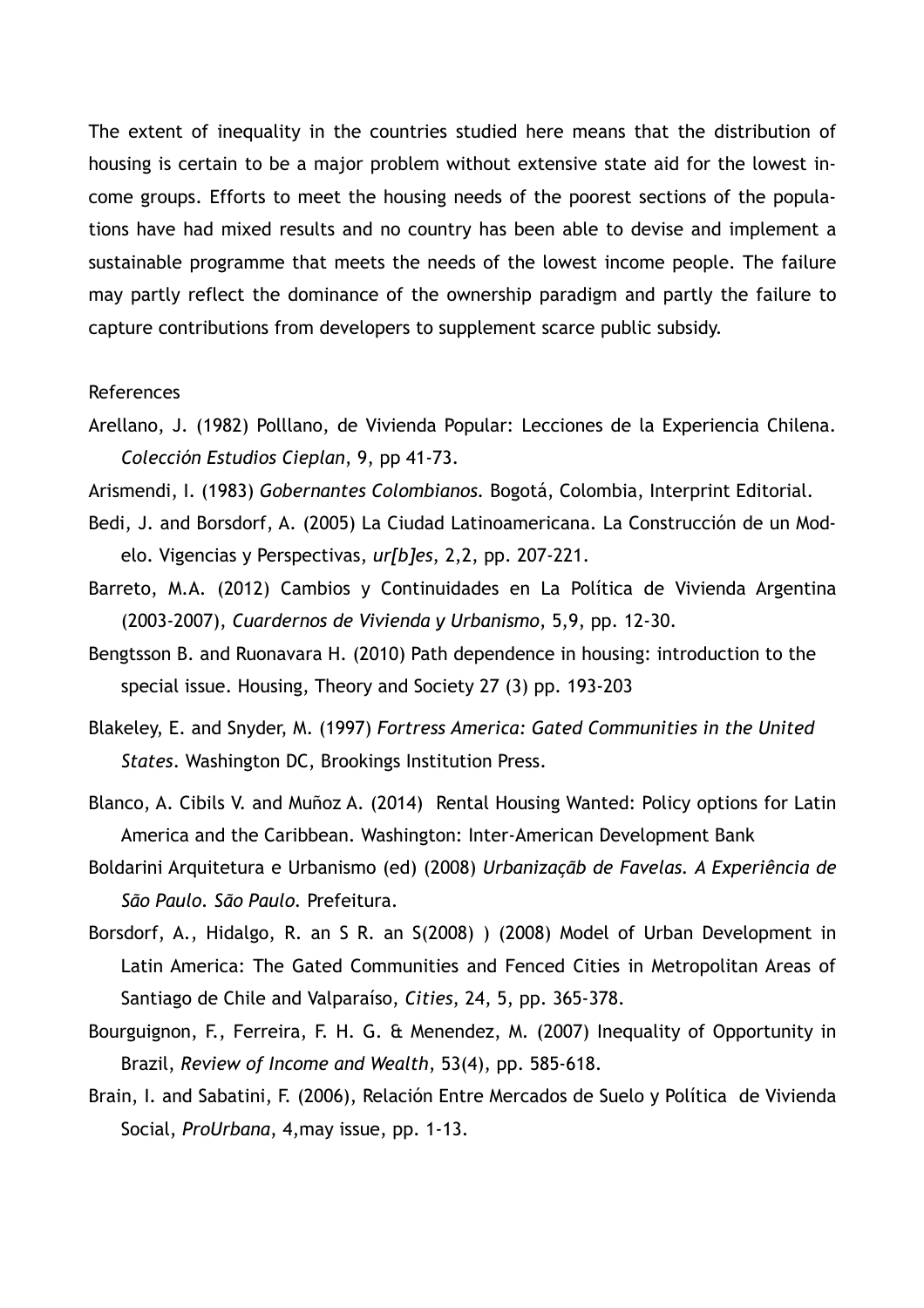The extent of inequality in the countries studied here means that the distribution of housing is certain to be a major problem without extensive state aid for the lowest income groups. Efforts to meet the housing needs of the poorest sections of the populations have had mixed results and no country has been able to devise and implement a sustainable programme that meets the needs of the lowest income people. The failure may partly reflect the dominance of the ownership paradigm and partly the failure to capture contributions from developers to supplement scarce public subsidy.

#### References

- Arellano, J. (1982) Polllano, de Vivienda Popular: Lecciones de la Experiencia Chilena. *Colección Estudios Cieplan*, 9, pp 41-73.
- Arismendi, I. (1983) *Gobernantes Colombianos.* Bogotá, Colombia, Interprint Editorial.
- Bedi, J. and Borsdorf, A. (2005) La Ciudad Latinoamericana. La Construcción de un Modelo. Vigencias y Perspectivas, *ur[b]es*, 2,2, pp. 207-221.
- Barreto, M.A. (2012) Cambios y Continuidades en La Política de Vivienda Argentina (2003-2007), *Cuardernos de Vivienda y Urbanismo*, 5,9, pp. 12-30.
- Bengtsson B. and Ruonavara H. (2010) Path dependence in housing: introduction to the special issue. Housing, Theory and Society 27 (3) pp. 193-203
- Blakeley, E. and Snyder, M. (1997) *Fortress America: Gated Communities in the United States*. Washington DC, Brookings Institution Press.
- Blanco, A. Cibils V. and Muñoz A. (2014) Rental Housing Wanted: Policy options for Latin America and the Caribbean. Washington: Inter-American Development Bank
- Boldarini Arquitetura e Urbanismo (ed) (2008) *Urbanizaçãb de Favelas. A Experiência de São Paulo. São Paulo.* Prefeitura.
- Borsdorf, A., Hidalgo, R. an S R. an S(2008) ) (2008) Model of Urban Development in Latin America: The Gated Communities and Fenced Cities in Metropolitan Areas of Santiago de Chile and Valparaíso, *Cities*, 24, 5, pp. 365-378.
- Bourguignon, F., Ferreira, F. H. G. & Menendez, M. (2007) Inequality of Opportunity in Brazil, *Review of Income and Wealth*, 53(4), pp. 585-618.
- Brain, I. and Sabatini, F. (2006), Relación Entre Mercados de Suelo y Política de Vivienda Social, *ProUrbana*, 4,may issue, pp. 1-13.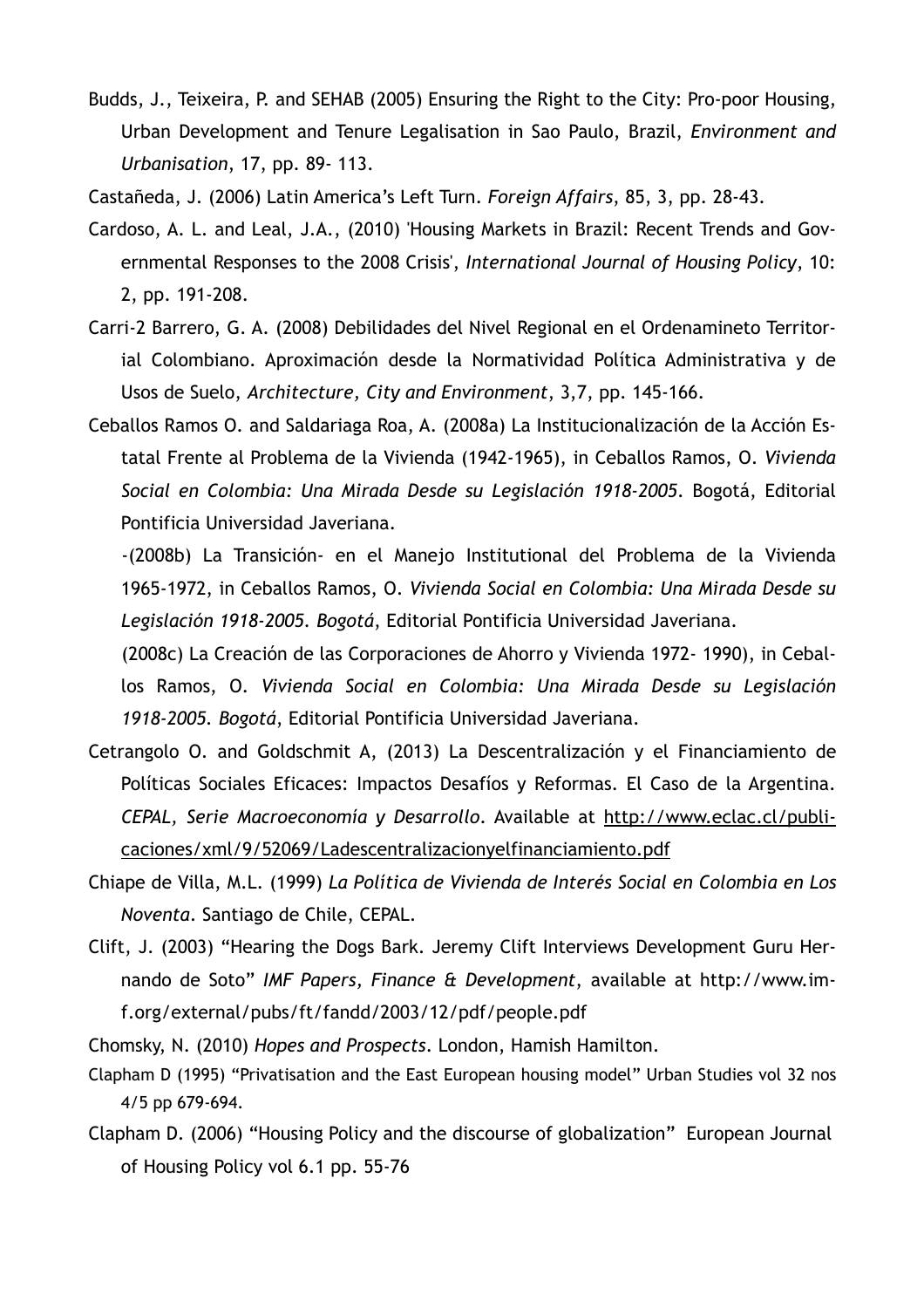- Budds, J., Teixeira, P. and SEHAB (2005) Ensuring the Right to the City: Pro-poor Housing, Urban Development and Tenure Legalisation in Sao Paulo, Brazil, *Environment and Urbanisation*, 17, pp. 89- 113.
- Castañeda, J. (2006) Latin America's Left Turn. *Foreign Affairs*, 85, 3, pp. 28-43.
- Cardoso, A. L. and Leal, J.A., (2010) 'Housing Markets in Brazil: Recent Trends and Governmental Responses to the 2008 Crisis', *International Journal of Housing Policy*, 10: 2, pp. 191-208.
- Carri-2 Barrero, G. A. (2008) Debilidades del Nivel Regional en el Ordenamineto Territorial Colombiano. Aproximación desde la Normatividad Política Administrativa y de Usos de Suelo, *Architecture, City and Environment*, 3,7, pp. 145-166.
- Ceballos Ramos O. and Saldariaga Roa, A. (2008a) La Institucionalización de la Acción Estatal Frente al Problema de la Vivienda (1942-1965), in Ceballos Ramos, O. *Vivienda Social en Colombia: Una Mirada Desde su Legislación 1918-2005*. Bogotá, Editorial Pontificia Universidad Javeriana.

 (2008c) La Creación de las Corporaciones de Ahorro y Vivienda 1972- 1990), in Ceballos Ramos, O. *Vivienda Social en Colombia: Una Mirada Desde su Legislación 1918-2005. Bogotá*, Editorial Pontificia Universidad Javeriana.

- Cetrangolo O. and Goldschmit A, (2013) La Descentralización y el Financiamiento de Políticas Sociales Eficaces: Impactos Desafíos y Reformas. El Caso de la Argentina. *CEPAL, Serie Macroeconomía y Desarrollo*. Available at http://www.eclac.cl/publi[caciones/xml/9/52069/Ladescentralizacionyelfinanciamiento.pdf](http://www.eclac.cl/publicaciones/xml/9/52069/ladescentralizacionyelfinanciamiento.pdf)
- Chiape de Villa, M.L. (1999) *La Política de Vivienda de Interés Social en Colombia en Los Noventa*. Santiago de Chile, CEPAL.
- Clift, J. (2003) "Hearing the Dogs Bark. Jeremy Clift Interviews Development Guru Hernando de Soto" *IMF Papers, Finance & Development*, available at http://www.im[f.org/external/pubs/ft/fandd/2003/12/pdf/people.pdf](http://www.imf.org/external/pubs/ft/fandd/2003/12/pdf/people.pdf)
- Chomsky, N. (2010) *Hopes and Prospects*. London, Hamish Hamilton.
- Clapham D (1995) "Privatisation and the East European housing model" Urban Studies vol 32 nos 4/5 pp 679-694.
- Clapham D. (2006) "Housing Policy and the discourse of globalization" European Journal of Housing Policy vol 6.1 pp. 55-76

 <sup>-(2008</sup>b) La Transición- en el Manejo Institutional del Problema de la Vivienda 1965-1972, in Ceballos Ramos, O. *Vivienda Social en Colombia: Una Mirada Desde su Legislación 1918-2005. Bogotá*, Editorial Pontificia Universidad Javeriana.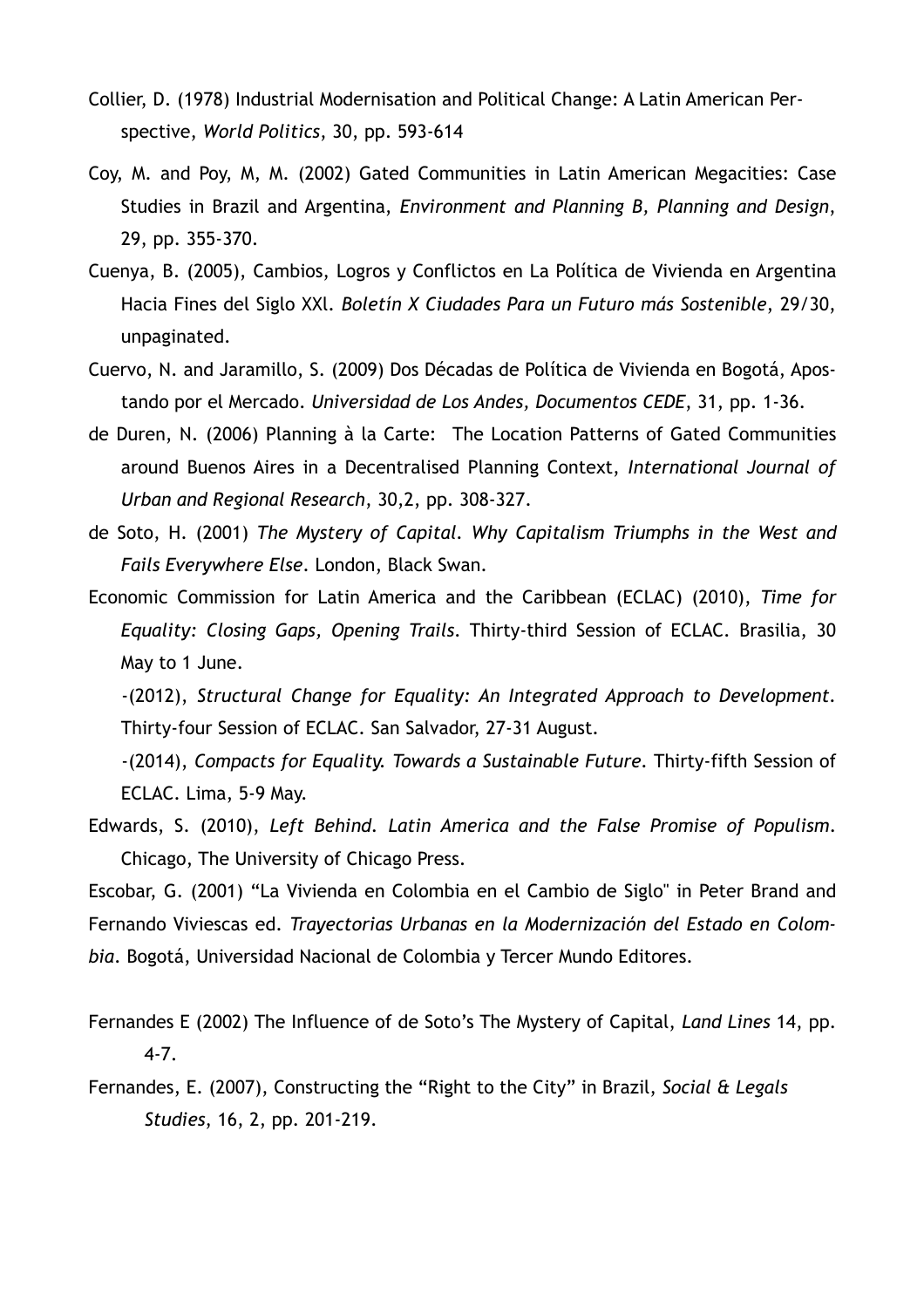- Collier, D. (1978) Industrial Modernisation and Political Change: A Latin American Perspective, *World Politics*, 30, pp. 593-614
- Coy, M. and Poy, M, M. (2002) Gated Communities in Latin American Megacities: Case Studies in Brazil and Argentina, *Environment and Planning B, Planning and Design*, 29, pp. 355-370.
- Cuenya, B. (2005), Cambios, Logros y Conflictos en La Política de Vivienda en Argentina Hacia Fines del Siglo XXl. *Boletín X Ciudades Para un Futuro más Sostenible*, 29/30, unpaginated.
- Cuervo, N. and Jaramillo, S. (2009) Dos Décadas de Política de Vivienda en Bogotá, Apostando por el Mercado. *Universidad de Los Andes, Documentos CEDE*, 31, pp. 1-36.
- de Duren, N. (2006) Planning à la Carte: The Location Patterns of Gated Communities around Buenos Aires in a Decentralised Planning Context, *International Journal of Urban and Regional Research*, 30,2, pp. 308-327.
- de Soto, H. (2001) *The Mystery of Capital. Why Capitalism Triumphs in the West and Fails Everywhere Else*. London, Black Swan.
- Economic Commission for Latin America and the Caribbean (ECLAC) (2010), *Time for Equality: Closing Gaps, Opening Trails*. Thirty-third Session of ECLAC. Brasilia, 30 May to 1 June.
	- -(2012), *Structural Change for Equality: An Integrated Approach to Development.* Thirty-four Session of ECLAC. San Salvador, 27-31 August.
	- -(2014), *Compacts for Equality. Towards a Sustainable Future.* Thirty-fifth Session of ECLAC. Lima, 5-9 May.
- Edwards, S. (2010), *Left Behind. Latin America and the False Promise of Populism*. Chicago, The University of Chicago Press.
- Escobar, G. (2001) "La Vivienda en Colombia en el Cambio de Siglo" in Peter Brand and Fernando Viviescas ed. *Trayectorias Urbanas en la Modernización del Estado en Colombia*. Bogotá, Universidad Nacional de Colombia y Tercer Mundo Editores.
- Fernandes E (2002) The Influence of de Soto's The Mystery of Capital, *Land Lines* 14, pp. 4-7.
- Fernandes, E. (2007), Constructing the "Right to the City" in Brazil, *Social & Legals Studies*, 16, 2, pp. 201-219.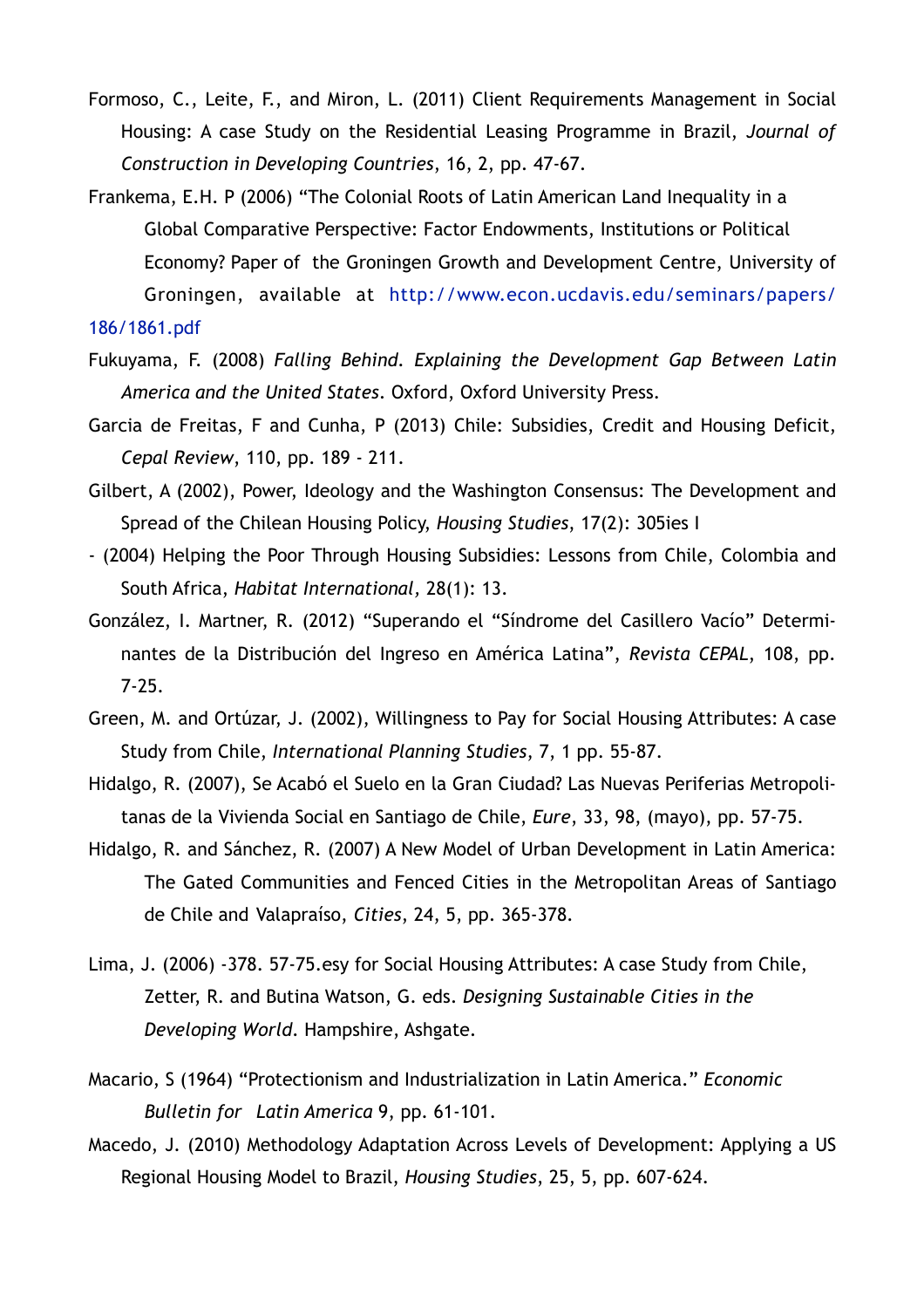- Formoso, C., Leite, F., and Miron, L. (2011) Client Requirements Management in Social Housing: A case Study on the Residential Leasing Programme in Brazil, *Journal of Construction in Developing Countries*, 16, 2, pp. 47-67.
- Frankema, E.H. P (2006) "The Colonial Roots of Latin American Land Inequality in a Global Comparative Perspective: Factor Endowments, Institutions or Political Economy? Paper of the Groningen Growth and Development Centre, University of  [Groningen, available at http://www.econ.ucdavis.edu/seminars/papers/](http://www.econ.ucdavis.edu/seminars/papers/186/1861.pdf) 186/1861.pdf
- Fukuyama, F. (2008) *Falling Behind. Explaining the Development Gap Between Latin America and the United States*. Oxford, Oxford University Press.
- Garcia de Freitas, F and Cunha, P (2013) Chile: Subsidies, Credit and Housing Deficit, *Cepal Review*, 110, pp. 189 - 211.
- Gilbert, A (2002), Power, Ideology and the Washington Consensus: The Development and Spread of the Chilean Housing Policy, *Housing Studies*, 17(2): 305ies I
- (2004) Helping the Poor Through Housing Subsidies: Lessons from Chile, Colombia and South Africa, *Habitat International,* 28(1): 13.
- González, I. Martner, R. (2012) "Superando el "Síndrome del Casillero Vacío" Determinantes de la Distribución del Ingreso en América Latina", *Revista CEPAL*, 108, pp. 7-25.
- Green, M. and Ortúzar, J. (2002), Willingness to Pay for Social Housing Attributes: A case Study from Chile, *International Planning Studies*, 7, 1 pp. 55-87.
- Hidalgo, R. (2007), Se Acabó el Suelo en la Gran Ciudad? Las Nuevas Periferias Metropolitanas de la Vivienda Social en Santiago de Chile, *Eure*, 33, 98, (mayo), pp. 57-75.
- Hidalgo, R. and Sánchez, R. (2007) A New Model of Urban Development in Latin America: The Gated Communities and Fenced Cities in the Metropolitan Areas of Santiago de Chile and Valapraíso, *Cities*, 24, 5, pp. 365-378.
- Lima, J. (2006) -378. 57-75.esy for Social Housing Attributes: A case Study from Chile, Zetter, R. and Butina Watson, G. eds. *Designing Sustainable Cities in the Developing World*. Hampshire, Ashgate.
- Macario, S (1964) "Protectionism and Industrialization in Latin America." *Economic Bulletin for Latin America* 9, pp. 61-101.
- Macedo, J. (2010) Methodology Adaptation Across Levels of Development: Applying a US Regional Housing Model to Brazil, *Housing Studies*, 25, 5, pp. 607-624.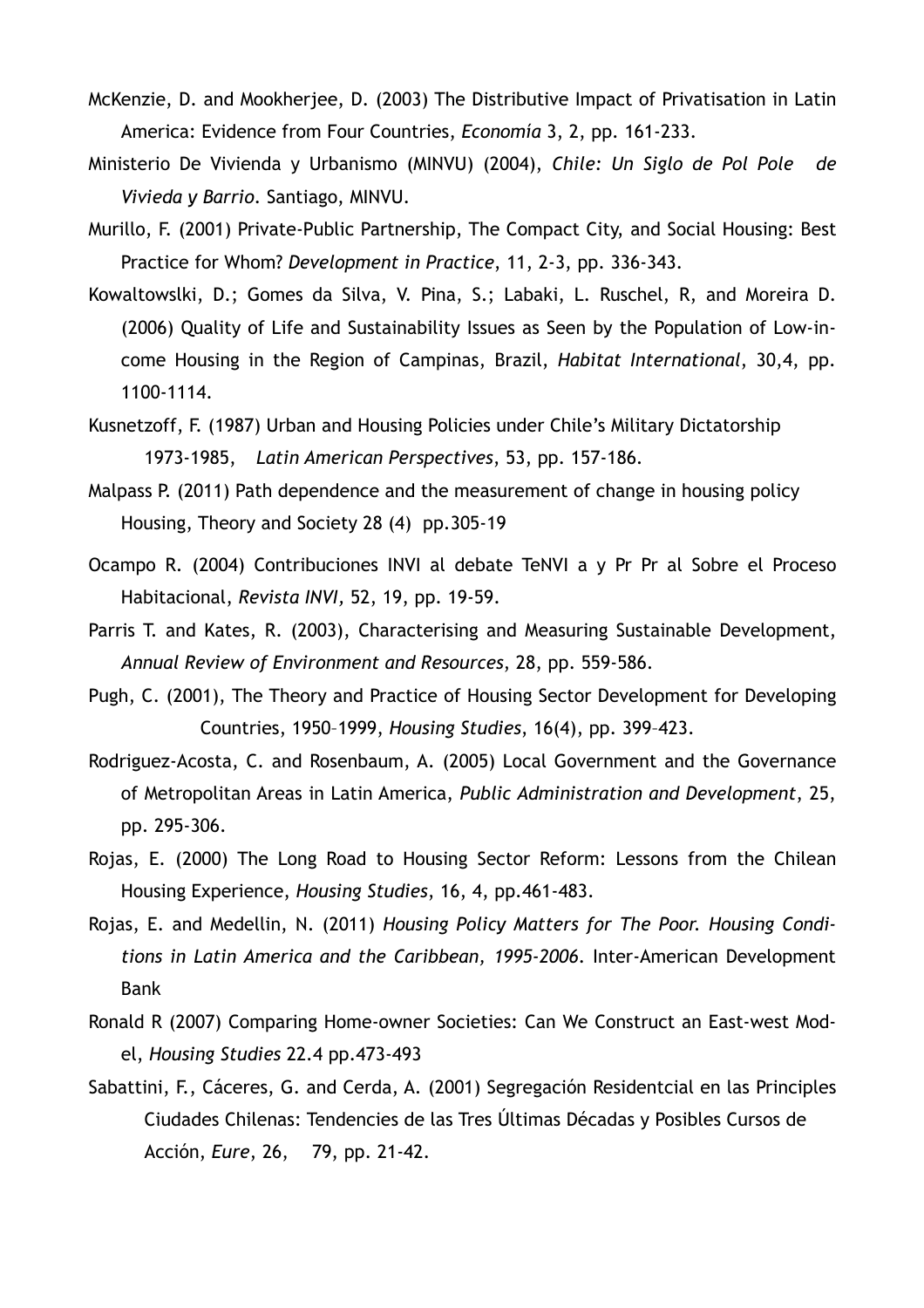- McKenzie, D. and Mookherjee, D. (2003) The Distributive Impact of Privatisation in Latin America: Evidence from Four Countries, *Economía* 3, 2, pp. 161-233.
- Ministerio De Vivienda y Urbanismo (MINVU) (2004), *Chile: Un Siglo de Pol Pole de Vivieda y Barrio*. Santiago, MINVU.
- Murillo, F. (2001) Private-Public Partnership, The Compact City, and Social Housing: Best Practice for Whom? *Development in Practice*, 11, 2-3, pp. 336-343.
- Kowaltowslki, D.; Gomes da Silva, V. Pina, S.; Labaki, L. Ruschel, R, and Moreira D. (2006) Quality of Life and Sustainability Issues as Seen by the Population of Low-income Housing in the Region of Campinas, Brazil, *Habitat International*, 30,4, pp. 1100-1114.
- Kusnetzoff, F. (1987) Urban and Housing Policies under Chile's Military Dictatorship 1973-1985, *Latin American Perspectives*, 53, pp. 157-186.
- Malpass P. (2011) Path dependence and the measurement of change in housing policy Housing, Theory and Society 28 (4) pp.305-19
- Ocampo R. (2004) Contribuciones INVI al debate TeNVI a y Pr Pr al Sobre el Proceso Habitacional, *Revista INVI,* 52, 19, pp. 19-59.
- Parris T. and Kates, R. (2003), Characterising and Measuring Sustainable Development, *Annual Review of Environment and Resources*, 28, pp. 559-586.
- Pugh, C. (2001), The Theory and Practice of Housing Sector Development for Developing Countries, 1950–1999, *Housing Studies*, 16(4), pp. 399–423.
- Rodriguez-Acosta, C. and Rosenbaum, A. (2005) Local Government and the Governance of Metropolitan Areas in Latin America, *Public Administration and Development*, 25, pp. 295-306.
- Rojas, E. (2000) The Long Road to Housing Sector Reform: Lessons from the Chilean Housing Experience, *Housing Studies*, 16, 4, pp.461-483.
- Rojas, E. and Medellin, N. (2011) *Housing Policy Matters for The Poor. Housing Conditions in Latin America and the Caribbean, 1995-2006*. Inter-American Development Bank
- Ronald R (2007) Comparing Home-owner Societies: Can We Construct an East-west Model, *Housing Studies* 22.4 pp.473-493
- Sabattini, F., Cáceres, G. and Cerda, A. (2001) Segregación Residentcial en las Principles Ciudades Chilenas: Tendencies de las Tres Últimas Décadas y Posibles Cursos de Acción, *Eure*, 26, 79, pp. 21-42.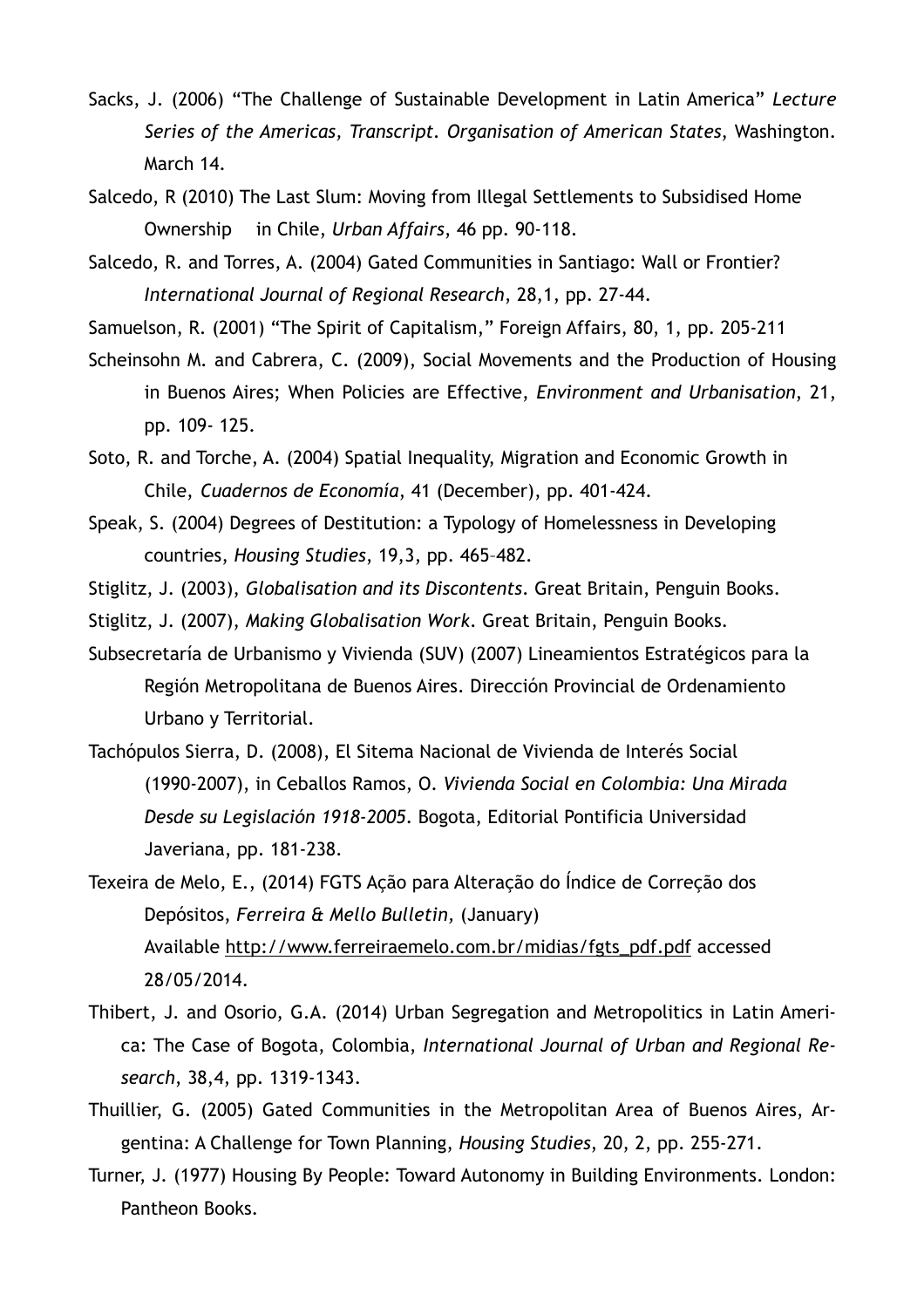- Sacks, J. (2006) "The Challenge of Sustainable Development in Latin America" *Lecture Series of the Americas, Transcript. Organisation of American States*, Washington. March 14.
- Salcedo, R (2010) The Last Slum: Moving from Illegal Settlements to Subsidised Home Ownership in Chile, *Urban Affairs*, 46 pp. 90-118.
- Salcedo, R. and Torres, A. (2004) Gated Communities in Santiago: Wall or Frontier? *International Journal of Regional Research*, 28,1, pp. 27-44.
- Samuelson, R. (2001) "The Spirit of Capitalism," Foreign Affairs, 80, 1, pp. 205-211
- Scheinsohn M. and Cabrera, C. (2009), Social Movements and the Production of Housing in Buenos Aires; When Policies are Effective, *Environment and Urbanisation*, 21, pp. 109- 125.
- Soto, R. and Torche, A. (2004) Spatial Inequality, Migration and Economic Growth in Chile, *Cuadernos de Economía*, 41 (December), pp. 401-424.
- Speak, S. (2004) Degrees of Destitution: a Typology of Homelessness in Developing countries, *Housing Studies*, 19,3, pp. 465–482.
- Stiglitz, J. (2003), *Globalisation and its Discontents*. Great Britain, Penguin Books.
- Stiglitz, J. (2007), *Making Globalisation Work*. Great Britain, Penguin Books.
- Subsecretaría de Urbanismo y Vivienda (SUV) (2007) Lineamientos Estratégicos para la Región Metropolitana de Buenos Aires. Dirección Provincial de Ordenamiento Urbano y Territorial.
- Tachópulos Sierra, D. (2008), El Sitema Nacional de Vivienda de Interés Social (1990-2007), in Ceballos Ramos, O. *Vivienda Social en Colombia: Una Mirada Desde su Legislación 1918-2005*. Bogota, Editorial Pontificia Universidad Javeriana, pp. 181-238.
- Texeira de Melo, E., (2014) FGTS Ação para Alteração do Índice de Correção dos Depósitos, *Ferreira & Mello Bulletin,* (January) Available [http://www.ferreiraemelo.com.br/midias/fgts\\_pdf.pdf](http://www.ferreiraemelo.com.br/midias/fgts_pdf.pdf) accessed 28/05/2014.
- Thibert, J. and Osorio, G.A. (2014) Urban Segregation and Metropolitics in Latin America: The Case of Bogota, Colombia, *International Journal of Urban and Regional Research*, 38,4, pp. 1319-1343.
- Thuillier, G. (2005) Gated Communities in the Metropolitan Area of Buenos Aires, Argentina: A Challenge for Town Planning, *Housing Studies*, 20, 2, pp. 255-271.
- Turner, J. (1977) Housing By People: Toward Autonomy in Building Environments. London: Pantheon Books.